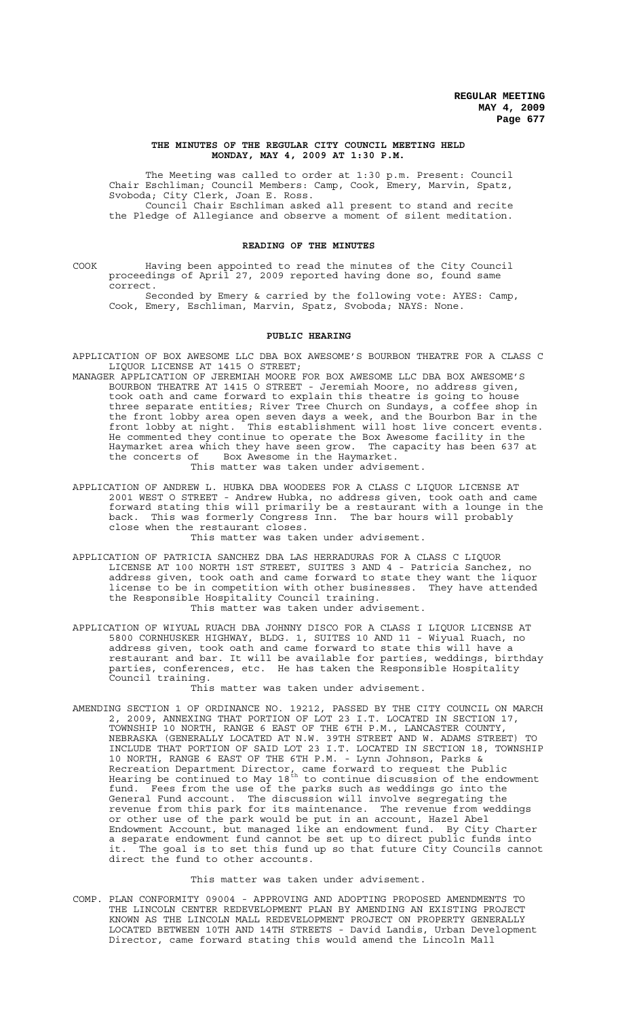#### **THE MINUTES OF THE REGULAR CITY COUNCIL MEETING HELD MONDAY, MAY 4, 2009 AT 1:30 P.M.**

The Meeting was called to order at 1:30 p.m. Present: Council Chair Eschliman; Council Members: Camp, Cook, Emery, Marvin, Spatz, Svoboda; City Clerk, Joan E. Ross.

Council Chair Eschliman asked all present to stand and recite the Pledge of Allegiance and observe a moment of silent meditation.

## **READING OF THE MINUTES**

COOK Having been appointed to read the minutes of the City Council proceedings of April 27, 2009 reported having done so, found same correct.

Seconded by Emery & carried by the following vote: AYES: Camp, Cook, Emery, Eschliman, Marvin, Spatz, Svoboda; NAYS: None.

## **PUBLIC HEARING**

APPLICATION OF BOX AWESOME LLC DBA BOX AWESOME'S BOURBON THEATRE FOR A CLASS C LIQUOR LICENSE AT 1415 O STREET;

MANAGER APPLICATION OF JEREMIAH MOORE FOR BOX AWESOME LLC DBA BOX AWESOME'S BOURBON THEATRE AT 1415 O STREET - Jeremiah Moore, no address given, took oath and came forward to explain this theatre is going to house three separate entities; River Tree Church on Sundays, a coffee shop in the front lobby area open seven days a week, and the Bourbon Bar in the front lobby at night. This establishment will host live concert events. He commented they continue to operate the Box Awesome facility in the Haymarket area which they have seen grow. The capacity has been 637 at the concerts of Box Awesome in the Haymarket. the concerts of Box Awesome in the Haymarket.<br>This matter was taken under advisement.

APPLICATION OF ANDREW L. HUBKA DBA WOODEES FOR A CLASS C LIQUOR LICENSE AT 2001 WEST O STREET - Andrew Hubka, no address given, took oath and came forward stating this will primarily be a restaurant with a lounge in the back. This was formerly Congress Inn. The bar hours will probably

close when the restaurant closes. This matter was taken under advisement.

- APPLICATION OF PATRICIA SANCHEZ DBA LAS HERRADURAS FOR A CLASS C LIQUOR LICENSE AT 100 NORTH 1ST STREET, SUITES 3 AND 4 - Patricia Sanchez, no address given, took oath and came forward to state they want the liquor license to be in competition with other businesses. They have attended the Responsible Hospitality Council training. This matter was taken under advisement.
- APPLICATION OF WIYUAL RUACH DBA JOHNNY DISCO FOR A CLASS I LIQUOR LICENSE AT 5800 CORNHUSKER HIGHWAY, BLDG. 1, SUITES 10 AND 11 - Wiyual Ruach, no address given, took oath and came forward to state this will have a restaurant and bar. It will be available for parties, weddings, birthday parties, conferences, etc. He has taken the Responsible Hospitality Council training.

This matter was taken under advisement.

AMENDING SECTION 1 OF ORDINANCE NO. 19212, PASSED BY THE CITY COUNCIL ON MARCH 2, 2009, ANNEXING THAT PORTION OF LOT 23 I.T. LOCATED IN SECTION 17, TOWNSHIP 10 NORTH, RANGE 6 EAST OF THE 6TH P.M., LANCASTER COUNTY, NEBRASKA (GENERALLY LOCATED AT N.W. 39TH STREET AND W. ADAMS STREET) TO INCLUDE THAT PORTION OF SAID LOT 23 I.T. LOCATED IN SECTION 18, TOWNSHIP 10 NORTH, RANGE 6 EAST OF THE 6TH P.M. - Lynn Johnson, Parks & Recreation Department Director, came forward to request the Public Hearing be continued to May 18<sup>th</sup> to continue discussion of the endowment fund. Fees from the use of the parks such as weddings go into the General Fund account. The discussion will involve segregating the revenue from this park for its maintenance. The revenue from weddings or other use of the park would be put in an account, Hazel Abel Endowment Account, but managed like an endowment fund. By City Charter a separate endowment fund cannot be set up to direct public funds into it. The goal is to set this fund up so that future City Councils cannot direct the fund to other accounts.

## This matter was taken under advisement.

COMP. PLAN CONFORMITY 09004 - APPROVING AND ADOPTING PROPOSED AMENDMENTS TO THE LINCOLN CENTER REDEVELOPMENT PLAN BY AMENDING AN EXISTING PROJECT KNOWN AS THE LINCOLN MALL REDEVELOPMENT PROJECT ON PROPERTY GENERALLY LOCATED BETWEEN 10TH AND 14TH STREETS - David Landis, Urban Development Director, came forward stating this would amend the Lincoln Mall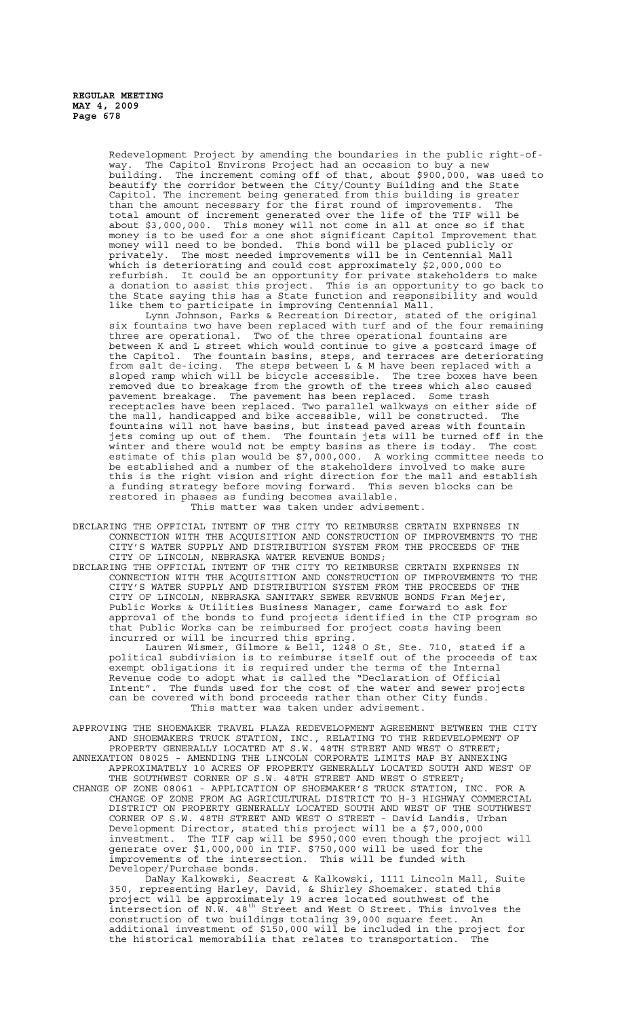Redevelopment Project by amending the boundaries in the public right-ofway. The Capitol Environs Project had an occasion to buy a new building. The increment coming off of that, about \$900,000, was used to beautify the corridor between the City/County Building and the State Capitol. The increment being generated from this building is greater than the amount necessary for the first round of improvements. The total amount of increment generated over the life of the TIF will be about \$3,000,000. This money will not come in all at once so if that money is to be used for a one shot significant Capitol Improvement that money will need to be bonded. This bond will be placed publicly or privately. The most needed improvements will be in Centennial Mall privately. The most needed improvements will be in Centennial Mai<br>which is deteriorating and could cost approximately \$2,000,000 to refurbish. It could be an opportunity for private stakeholders to make a donation to assist this project. This is an opportunity to go back to the State saying this has a State function and responsibility and would like them to participate in improving Centennial Mall.

Lynn Johnson, Parks & Recreation Director, stated of the original six fountains two have been replaced with turf and of the four remaining three are operational. Two of the three operational fountains are between K and L street which would continue to give a postcard image of the Capitol. The fountain basins, steps, and terraces are deteriorating from salt de-icing. The steps between L & M have been replaced with a sloped ramp which will be bicycle accessible. The tree boxes have been removed due to breakage from the growth of the trees which also caused pavement breakage. The pavement has been replaced. Some trash receptacles have been replaced. Two parallel walkways on either side of the mall, handicapped and bike accessible, will be constructed. The fountains will not have basins, but instead paved areas with fountain jets coming up out of them. The fountain jets will be turned off in the winter and there would not be empty basins as there is today. The cost estimate of this plan would be \$7,000,000. A working committee needs to be established and a number of the stakeholders involved to make sure this is the right vision and right direction for the mall and establish a funding strategy before moving forward. This seven blocks can be restored in phases as funding becomes available. This matter was taken under advisement.

DECLARING THE OFFICIAL INTENT OF THE CITY TO REIMBURSE CERTAIN EXPENSES IN CONNECTION WITH THE ACQUISITION AND CONSTRUCTION OF IMPROVEMENTS TO THE CITY'S WATER SUPPLY AND DISTRIBUTION SYSTEM FROM THE PROCEEDS OF THE CITY OF LINCOLN, NEBRASKA WATER REVENUE BONDS;

DECLARING THE OFFICIAL INTENT OF THE CITY TO REIMBURSE CERTAIN EXPENSES IN CONNECTION WITH THE ACQUISITION AND CONSTRUCTION OF IMPROVEMENTS TO THE CITY'S WATER SUPPLY AND DISTRIBUTION SYSTEM FROM THE PROCEEDS OF THE CITY OF LINCOLN, NEBRASKA SANITARY SEWER REVENUE BONDS Fran Mejer, Public Works & Utilities Business Manager, came forward to ask for approval of the bonds to fund projects identified in the CIP program so that Public Works can be reimbursed for project costs having been incurred or will be incurred this spring.

Lauren Wismer, Gilmore & Bell, 1248 O St, Ste. 710, stated if a political subdivision is to reimburse itself out of the proceeds of tax exempt obligations it is required under the terms of the Internal Revenue code to adopt what is called the "Declaration of Official Intent". The funds used for the cost of the water and sewer projects can be covered with bond proceeds rather than other City funds. This matter was taken under advisement.

APPROVING THE SHOEMAKER TRAVEL PLAZA REDEVELOPMENT AGREEMENT BETWEEN THE CITY AND SHOEMAKERS TRUCK STATION, INC., RELATING TO THE REDEVELOPMENT OF PROPERTY GENERALLY LOCATED AT S.W. 48TH STREET AND WEST O STREET; ANNEXATION 08025 - AMENDING THE LINCOLN CORPORATE LIMITS MAP BY ANNEXING APPROXIMATELY 10 ACRES OF PROPERTY GENERALLY LOCATED SOUTH AND WEST OF THE SOUTHWEST CORNER OF S.W. 48TH STREET AND WEST O STREET; CHANGE OF ZONE 08061 - APPLICATION OF SHOEMAKER'S TRUCK STATION, INC. FOR A CHANGE OF ZONE FROM AG AGRICULTURAL DISTRICT TO H-3 HIGHWAY COMMERCIAL DISTRICT ON PROPERTY GENERALLY LOCATED SOUTH AND WEST OF THE SOUTHWEST<br>CORNER OF S.W. 48TH STREET AND WEST O STREET - David Landis, Urban CORNER OF S.W. 48TH STREET AND WEST O STREET - David Landis, Urban Development Director, stated this project will be a \$7,000,000 investment. The TIF cap will be \$950,000 even though the project will generate over \$1,000,000 in TIF. \$750,000 will be used for the improvements of the intersection. This will be funded with Developer/Purchase bonds.

DaNay Kalkowski, Seacrest & Kalkowski, 1111 Lincoln Mall, Suite 350, representing Harley, David, & Shirley Shoemaker. stated this project will be approximately 19 acres located southwest of the intersection of N.W. 48th Street and West O Street. This involves the construction of two buildings totaling 39,000 square feet. An additional investment of \$150,000 will be included in the project for the historical memorabilia that relates to transportation. The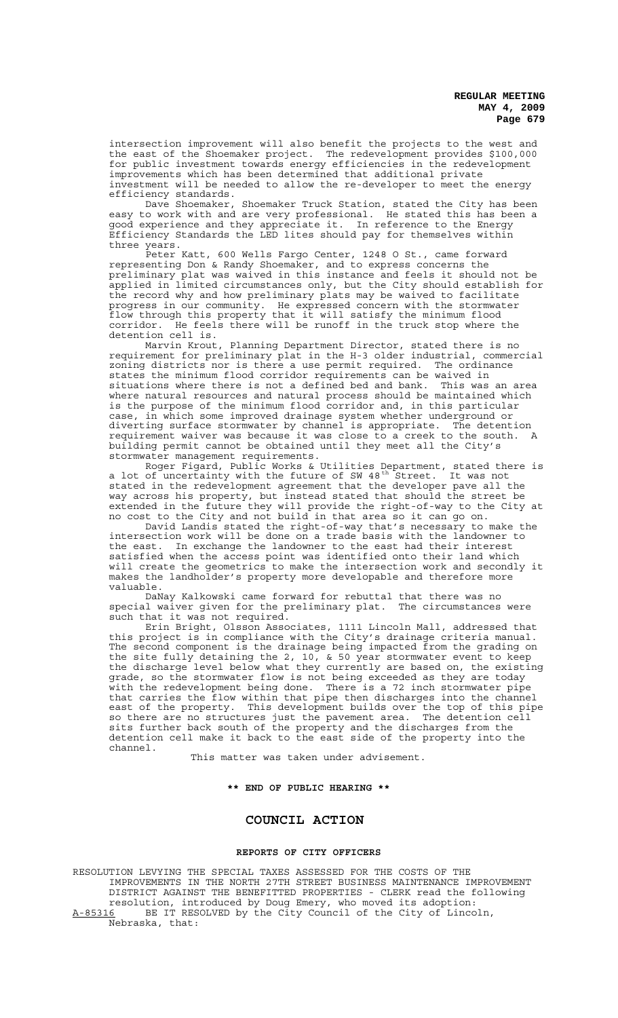intersection improvement will also benefit the projects to the west and the east of the Shoemaker project. The redevelopment provides \$100,000 for public investment towards energy efficiencies in the redevelopment improvements which has been determined that additional private investment will be needed to allow the re-developer to meet the energy efficiency standards.

Dave Shoemaker, Shoemaker Truck Station, stated the City has been easy to work with and are very professional. He stated this has been a good experience and they appreciate it. In reference to the Energy Efficiency Standards the LED lites should pay for themselves within three years.

.<br>Peter Katt, 600 Wells Fargo Center, 1248 O St., came forward representing Don & Randy Shoemaker, and to express concerns the preliminary plat was waived in this instance and feels it should not be applied in limited circumstances only, but the City should establish for the record why and how preliminary plats may be waived to facilitate progress in our community. He expressed concern with the stormwater flow through this property that it will satisfy the minimum flood corridor. He feels there will be runoff in the truck stop where the detention cell is.

Marvin Krout, Planning Department Director, stated there is no requirement for preliminary plat in the H-3 older industrial, commercial zoning districts nor is there a use permit required. The ordinance states the minimum flood corridor requirements can be waived in situations where there is not a defined bed and bank. This was an area where natural resources and natural process should be maintained which is the purpose of the minimum flood corridor and, in this particular case, in which some improved drainage system whether underground or diverting surface stormwater by channel is appropriate. The detention requirement waiver was because it was close to a creek to the south. A building permit cannot be obtained until they meet all the City's stormwater management requirements.

Roger Figard, Public Works & Utilities Department, stated there is a lot of uncertainty with the future of SW 48<sup>th Street. It was not</sup> stated in the redevelopment agreement that the developer pave all the way across his property, but instead stated that should the street be extended in the future they will provide the right-of-way to the City at no cost to the City and not build in that area so it can go on.

David Landis stated the right-of-way that's necessary to make the intersection work will be done on a trade basis with the landowner to the east. In exchange the landowner to the east had their interest satisfied when the access point was identified onto their land which will create the geometrics to make the intersection work and secondly it makes the landholder's property more developable and therefore more valuable.

DaNay Kalkowski came forward for rebuttal that there was no special waiver given for the preliminary plat. The circumstances were such that it was not required

Erin Bright, Olsson Associates, 1111 Lincoln Mall, addressed that this project is in compliance with the City's drainage criteria manual. The second component is the drainage being impacted from the grading on the site fully detaining the 2, 10, & 50 year stormwater event to keep the discharge level below what they currently are based on, the existing grade, so the stormwater flow is not being exceeded as they are today with the redevelopment being done. There is a 72 inch stormwater pipe that carries the flow within that pipe then discharges into the channel east of the property. This development builds over the top of this pipe so there are no structures just the pavement area. The detention cell sits further back south of the property and the discharges from the detention cell make it back to the east side of the property into the channel.

This matter was taken under advisement.

**\*\* END OF PUBLIC HEARING \*\***

# **COUNCIL ACTION**

#### **REPORTS OF CITY OFFICERS**

RESOLUTION LEVYING THE SPECIAL TAXES ASSESSED FOR THE COSTS OF THE IMPROVEMENTS IN THE NORTH 27TH STREET BUSINESS MAINTENANCE IMPROVEMENT DISTRICT AGAINST THE BENEFITTED PROPERTIES - CLERK read the following resolution, introduced by Doug Emery, who moved its adoption: A-85316 BE IT RESOLVED by the City Council of the City of Lincoln, Nebraska, that: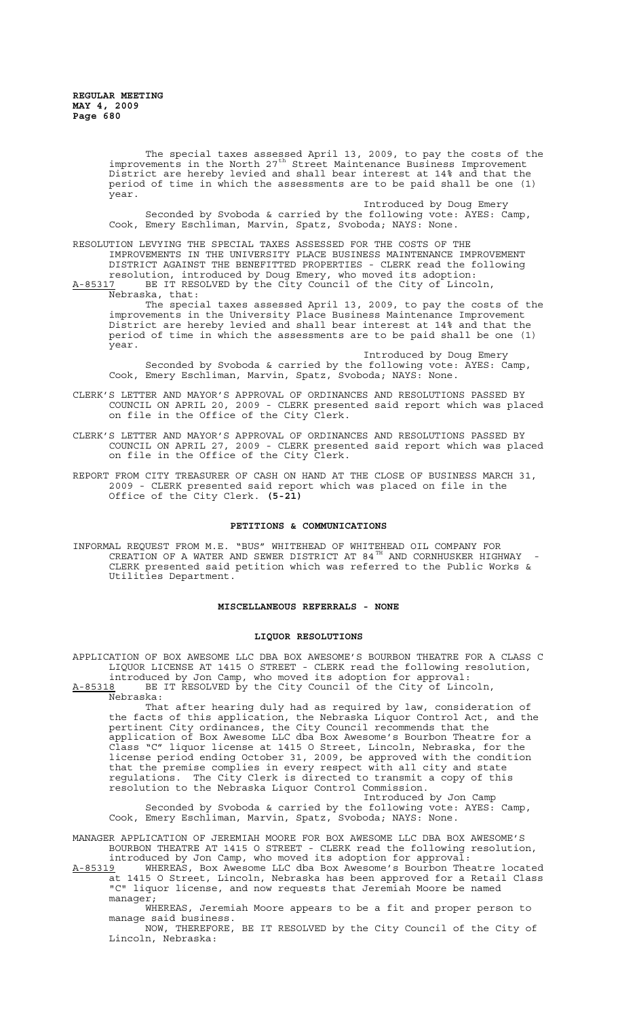The special taxes assessed April 13, 2009, to pay the costs of the improvements in the North 27<sup>th</sup> Street Maintenance Business Improvement District are hereby levied and shall bear interest at 14% and that the period of time in which the assessments are to be paid shall be one (1) year.

Introduced by Doug Emery Seconded by Svoboda & carried by the following vote: AYES: Camp, Cook, Emery Eschliman, Marvin, Spatz, Svoboda; NAYS: None.

RESOLUTION LEVYING THE SPECIAL TAXES ASSESSED FOR THE COSTS OF THE IMPROVEMENTS IN THE UNIVERSITY PLACE BUSINESS MAINTENANCE IMPROVEMENT DISTRICT AGAINST THE BENEFITTED PROPERTIES - CLERK read the following resolution, introduced by Doug Emery, who moved its adoption: A-85317 BE IT RESOLVED by the City Council of the City of Lincoln,

Nebraska, that: The special taxes assessed April 13, 2009, to pay the costs of the improvements in the University Place Business Maintenance Improvement District are hereby levied and shall bear interest at 14% and that the period of time in which the assessments are to be paid shall be one (1) year.

Introduced by Doug Emery Seconded by Svoboda & carried by the following vote: AYES: Camp, Cook, Emery Eschliman, Marvin, Spatz, Svoboda; NAYS: None.

- CLERK'S LETTER AND MAYOR'S APPROVAL OF ORDINANCES AND RESOLUTIONS PASSED BY COUNCIL ON APRIL 20, 2009 - CLERK presented said report which was placed on file in the Office of the City Clerk.
- CLERK'S LETTER AND MAYOR'S APPROVAL OF ORDINANCES AND RESOLUTIONS PASSED BY COUNCIL ON APRIL 27, 2009 - CLERK presented said report which was placed on file in the Office of the City Clerk.
- REPORT FROM CITY TREASURER OF CASH ON HAND AT THE CLOSE OF BUSINESS MARCH 31, 2009 - CLERK presented said report which was placed on file in the Office of the City Clerk. **(5-21)**

#### **PETITIONS & COMMUNICATIONS**

INFORMAL REQUEST FROM M.E. "BUS" WHITEHEAD OF WHITEHEAD OIL COMPANY FOR CREATION OF A WATER AND SEWER DISTRICT AT 84 $^{\text{TH}}$  AND CORNHUSKER HIGHWAY -CLERK presented said petition which was referred to the Public Works & Utilities Department.

#### **MISCELLANEOUS REFERRALS - NONE**

#### **LIQUOR RESOLUTIONS**

APPLICATION OF BOX AWESOME LLC DBA BOX AWESOME'S BOURBON THEATRE FOR A CLASS C LIQUOR LICENSE AT 1415 O STREET - CLERK read the following resolution, introduced by Jon Camp, who moved its adoption for approval: A-85318 BE IT RESOLVED by the City Council of the City of Lincoln,  $A-85318$  BE<br>Nebraska:

That after hearing duly had as required by law, consideration of the facts of this application, the Nebraska Liquor Control Act, and the pertinent City ordinances, the City Council recommends that the application of Box Awesome LLC dba Box Awesome's Bourbon Theatre for a Class "C" liquor license at 1415 O Street, Lincoln, Nebraska, for the license period ending October 31, 2009, be approved with the condition that the premise complies in every respect with all city and state regulations. The City Clerk is directed to transmit a copy of this resolution to the Nebraska Liquor Control Commission.

Introduced by Jon Camp Seconded by Svoboda & carried by the following vote: AYES: Camp, Cook, Emery Eschliman, Marvin, Spatz, Svoboda; NAYS: None.

MANAGER APPLICATION OF JEREMIAH MOORE FOR BOX AWESOME LLC DBA BOX AWESOME'S BOURBON THEATRE AT 1415 O STREET - CLERK read the following resolution, introduced by Jon Camp, who moved its adoption for approval:

A-85319 WHEREAS, Box Awesome LLC dba Box Awesome's Bourbon Theatre located at 1415 O Street, Lincoln, Nebraska has been approved for a Retail Class "C" liquor license, and now requests that Jeremiah Moore be named manager;

WHEREAS, Jeremiah Moore appears to be a fit and proper person to manage said business.

NOW, THEREFORE, BE IT RESOLVED by the City Council of the City of Lincoln, Nebraska: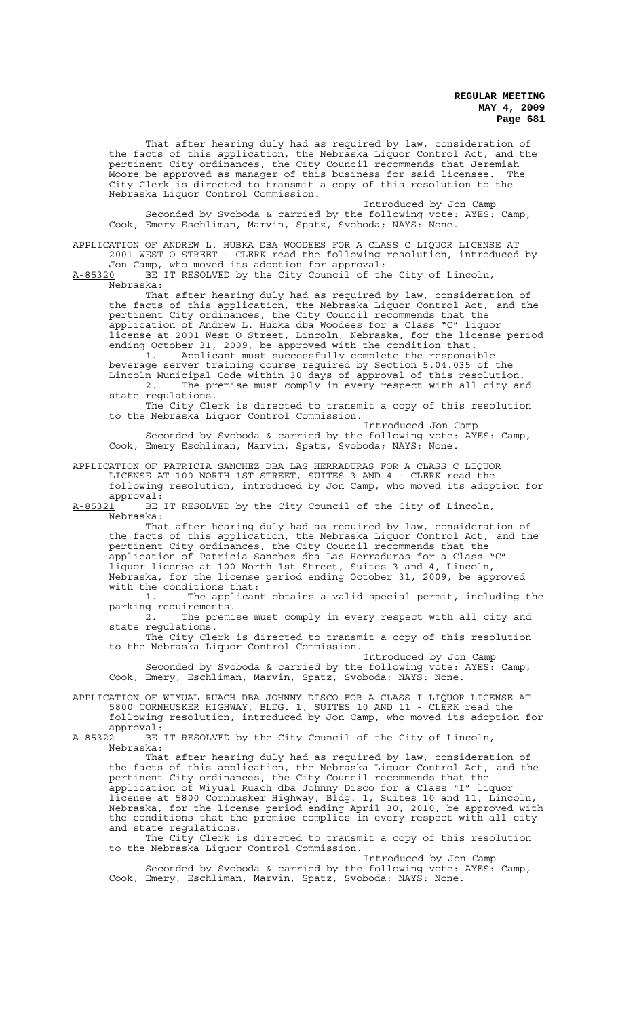That after hearing duly had as required by law, consideration of the facts of this application, the Nebraska Liquor Control Act, and the pertinent City ordinances, the City Council recommends that Jeremiah Moore be approved as manager of this business for said licensee. The City Clerk is directed to transmit a copy of this resolution to the Nebraska Liquor Control Commission.

Introduced by Jon Camp Seconded by Svoboda & carried by the following vote: AYES: Camp, Cook, Emery Eschliman, Marvin, Spatz, Svoboda; NAYS: None.

APPLICATION OF ANDREW L. HUBKA DBA WOODEES FOR A CLASS C LIQUOR LICENSE AT 2001 WEST O STREET - CLERK read the following resolution, introduced by Jon Camp, who moved its adoption for approval:

A-85320 BE IT RESOLVED by the City Council of the City of Lincoln, Nebraska:

That after hearing duly had as required by law, consideration of the facts of this application, the Nebraska Liquor Control Act, and the pertinent City ordinances, the City Council recommends that the application of Andrew L. Hubka dba Woodees for a Class "C" liquor license at 2001 West O Street, Lincoln, Nebraska, for the license period ending October 31, 2009, be approved with the condition that:

1. Applicant must successfully complete the responsible beverage server training course required by Section 5.04.035 of the Lincoln Municipal Code within 30 days of approval of this resolution. 2. The premise must comply in every respect with all city and state regulations.

The City Clerk is directed to transmit a copy of this resolution to the Nebraska Liquor Control Commission.

Introduced Jon Camp Seconded by Svoboda & carried by the following vote: AYES: Camp, Cook, Emery Eschliman, Marvin, Spatz, Svoboda; NAYS: None.

APPLICATION OF PATRICIA SANCHEZ DBA LAS HERRADURAS FOR A CLASS C LIQUOR LICENSE AT 100 NORTH 1ST STREET, SUITES 3 AND 4 - CLERK read the following resolution, introduced by Jon Camp, who moved its adoption for

approval:<br>A-85321 BE BE IT RESOLVED by the City Council of the City of Lincoln, Nebraska:

That after hearing duly had as required by law, consideration of the facts of this application, the Nebraska Liquor Control Act, and the pertinent City ordinances, the City Council recommends that the application of Patricia Sanchez dba Las Herraduras for a Class "C" liquor license at 100 North 1st Street, Suites 3 and 4, Lincoln, Nebraska, for the license period ending October 31, 2009, be approved

with the conditions that:<br>1. The applican The applicant obtains a valid special permit, including the parking requirements.

The premise must comply in every respect with all city and state regulations.

The City Clerk is directed to transmit a copy of this resolution to the Nebraska Liquor Control Commission.

Introduced by Jon Camp Seconded by Svoboda & carried by the following vote: AYES: Camp, Cook, Emery, Eschliman, Marvin, Spatz, Svoboda; NAYS: None.

APPLICATION OF WIYUAL RUACH DBA JOHNNY DISCO FOR A CLASS I LIQUOR LICENSE AT 5800 CORNHUSKER HIGHWAY, BLDG. 1, SUITES 10 AND 11 - CLERK read the following resolution, introduced by Jon Camp, who moved its adoption for

approval:<br>A-<u>85322</u> BE BE IT RESOLVED by the City Council of the City of Lincoln, Nebraska:

That after hearing duly had as required by law, consideration of the facts of this application, the Nebraska Liquor Control Act, and the pertinent City ordinances, the City Council recommends that the application of Wiyual Ruach dba Johnny Disco for a Class "I" liquor license at 5800 Cornhusker Highway, Bldg. 1, Suites 10 and 11, Lincoln, Nebraska, for the license period ending April 30, 2010, be approved with the conditions that the premise complies in every respect with all city and state regulations.

The City Clerk is directed to transmit a copy of this resolution to the Nebraska Liquor Control Commission.

Introduced by Jon Camp Seconded by Svoboda & carried by the following vote: AYES: Camp, Cook, Emery, Eschliman, Marvin, Spatz, Svoboda; NAYS: None.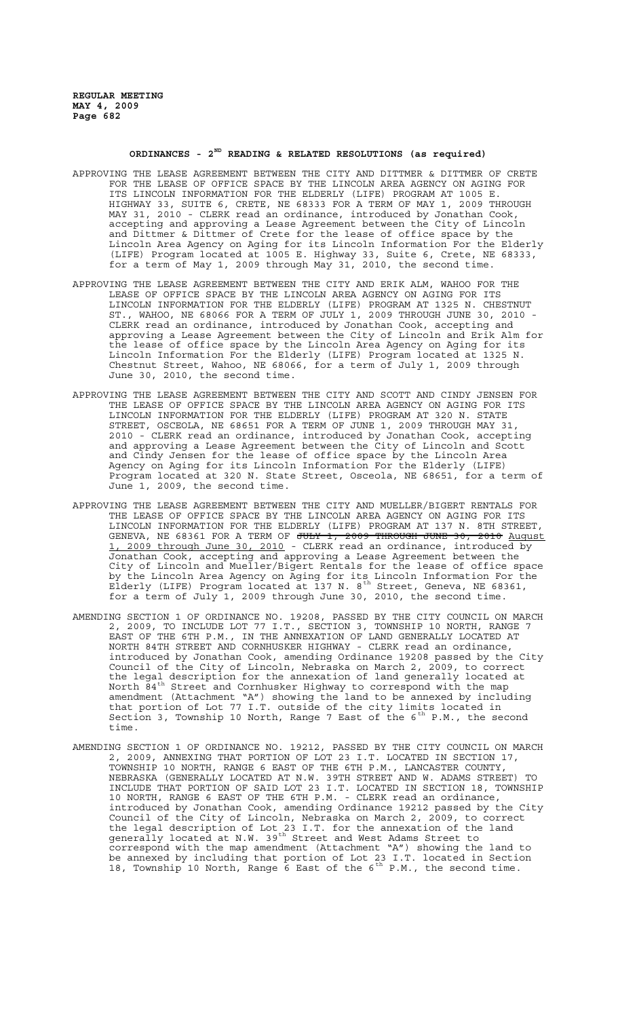#### **ORDINANCES - 2ND READING & RELATED RESOLUTIONS (as required)**

- APPROVING THE LEASE AGREEMENT BETWEEN THE CITY AND DITTMER & DITTMER OF CRETE FOR THE LEASE OF OFFICE SPACE BY THE LINCOLN AREA AGENCY ON AGING FOR ITS LINCOLN INFORMATION FOR THE ELDERLY (LIFE) PROGRAM AT 1005 E. HIGHWAY 33, SUITE 6, CRETE, NE 68333 FOR A TERM OF MAY 1, 2009 THROUGH MAY 31, 2010 - CLERK read an ordinance, introduced by Jonathan Cook, accepting and approving a Lease Agreement between the City of Lincoln and Dittmer & Dittmer of Crete for the lease of office space by the Lincoln Area Agency on Aging for its Lincoln Information For the Elderly (LIFE) Program located at 1005 E. Highway 33, Suite 6, Crete, NE 68333, for a term of May 1, 2009 through May 31, 2010, the second time.
- APPROVING THE LEASE AGREEMENT BETWEEN THE CITY AND ERIK ALM, WAHOO FOR THE LEASE OF OFFICE SPACE BY THE LINCOLN AREA AGENCY ON AGING FOR ITS LINCOLN INFORMATION FOR THE ELDERLY (LIFE) PROGRAM AT 1325 N. CHESTNUT ST., WAHOO, NE 68066 FOR A TERM OF JULY 1, 2009 THROUGH JUNE 30, 2010 - CLERK read an ordinance, introduced by Jonathan Cook, accepting and approving a Lease Agreement between the City of Lincoln and Erik Alm for the lease of office space by the Lincoln Area Agency on Aging for its Lincoln Information For the Elderly (LIFE) Program located at 1325 N. Chestnut Street, Wahoo, NE 68066, for a term of July 1, 2009 through June 30, 2010, the second time.
- APPROVING THE LEASE AGREEMENT BETWEEN THE CITY AND SCOTT AND CINDY JENSEN FOR THE LEASE OF OFFICE SPACE BY THE LINCOLN AREA AGENCY ON AGING FOR ITS LINCOLN INFORMATION FOR THE ELDERLY (LIFE) PROGRAM AT 320 N. STATE STREET, OSCEOLA, NE 68651 FOR A TERM OF JUNE 1, 2009 THROUGH MAY 31, 2010 - CLERK read an ordinance, introduced by Jonathan Cook, accepting and approving a Lease Agreement between the City of Lincoln and Scott and Cindy Jensen for the lease of office space by the Lincoln Area Agency on Aging for its Lincoln Information For the Elderly (LIFE) Program located at 320 N. State Street, Osceola, NE 68651, for a term of June 1, 2009, the second time.
- APPROVING THE LEASE AGREEMENT BETWEEN THE CITY AND MUELLER/BIGERT RENTALS FOR THE LEASE OF OFFICE SPACE BY THE LINCOLN AREA AGENCY ON AGING FOR ITS LINCOLN INFORMATION FOR THE ELDERLY (LIFE) PROGRAM AT 137 N. 8TH STREET, GENEVA, NE 68361 FOR A TERM OF JULY 1, 2009 THROUGH JUNE 30, 2010 August 1, 2009 through June 30, 2010 - CLERK read an ordinance, introduced by Jonathan Cook, accepting and approving a Lease Agreement between the City of Lincoln and Mueller/Bigert Rentals for the lease of office space by the Lincoln Area Agency on Aging for its Lincoln Information For the Elderly (LIFE) Program located at 137 N. 8<sup>th</sup> Street, Geneva, NE 68361, for a term of July 1, 2009 through June 30, 2010, the second time.
- AMENDING SECTION 1 OF ORDINANCE NO. 19208, PASSED BY THE CITY COUNCIL ON MARCH 2, 2009, TO INCLUDE LOT 77 I.T., SECTION 3, TOWNSHIP 10 NORTH, RANGE 7 EAST OF THE 6TH P.M., IN THE ANNEXATION OF LAND GENERALLY LOCATED AT NORTH 84TH STREET AND CORNHUSKER HIGHWAY - CLERK read an ordinance, introduced by Jonathan Cook, amending Ordinance 19208 passed by the City Council of the City of Lincoln, Nebraska on March 2, 2009, to correct the legal description for the annexation of land generally located at North  $\breve{8}4^\text{th}$  Street and Cornhusker Highway to correspond with the map amendment (Attachment "A") showing the land to be annexed by including that portion of Lot 77 I.T. outside of the city limits located in Section 3, Township 10 North, Range 7 East of the 6<sup>th</sup> P.M., the second time.
- AMENDING SECTION 1 OF ORDINANCE NO. 19212, PASSED BY THE CITY COUNCIL ON MARCH 2, 2009, ANNEXING THAT PORTION OF LOT 23 I.T. LOCATED IN SECTION 17, TOWNSHIP 10 NORTH, RANGE 6 EAST OF THE 6TH P.M., LANCASTER COUNTY, NEBRASKA (GENERALLY LOCATED AT N.W. 39TH STREET AND W. ADAMS STREET) TO INCLUDE THAT PORTION OF SAID LOT 23 I.T. LOCATED IN SECTION 18, TOWNSHIP 10 NORTH, RANGE 6 EAST OF THE 6TH P.M. - CLERK read an ordinance, introduced by Jonathan Cook, amending Ordinance 19212 passed by the City Council of the City of Lincoln, Nebraska on March 2, 2009, to correct the legal description of Lot 23 I.T. for the annexation of the land generally located at N.W. 39<sup>th</sup> Street and West Adams Street to correspond with the map amendment (Attachment "A") showing the land to be annexed by including that portion of Lot 23 I.T. located in Section 18, Township 10 North, Range 6 East of the  $6^{th}$  P.M., the second time.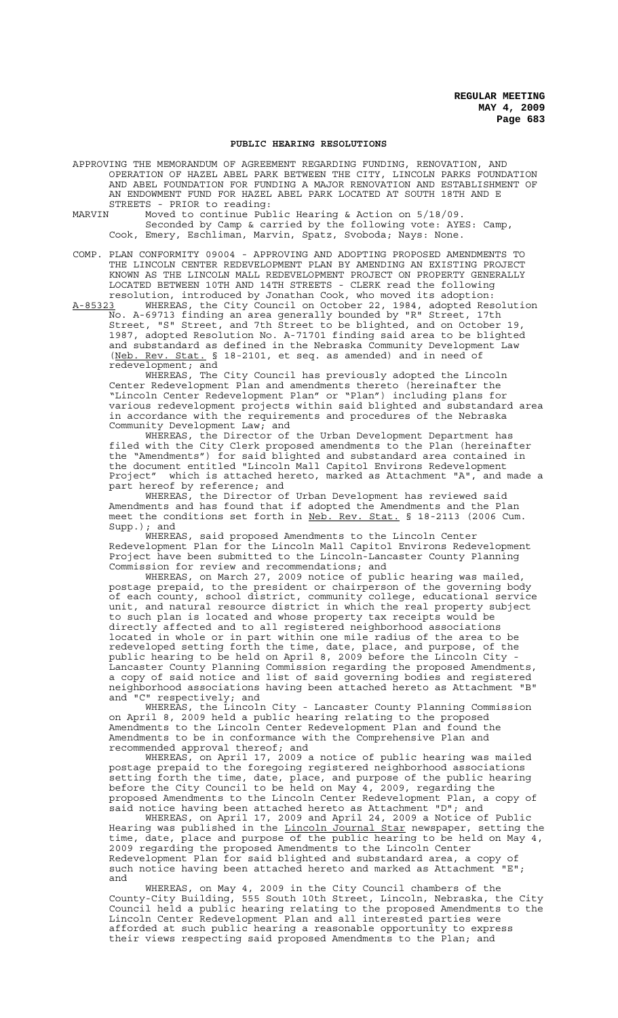### **PUBLIC HEARING RESOLUTIONS**

- APPROVING THE MEMORANDUM OF AGREEMENT REGARDING FUNDING, RENOVATION, AND OPERATION OF HAZEL ABEL PARK BETWEEN THE CITY, LINCOLN PARKS FOUNDATION AND ABEL FOUNDATION FOR FUNDING A MAJOR RENOVATION AND ESTABLISHMENT OF AN ENDOWMENT FUND FOR HAZEL ABEL PARK LOCATED AT SOUTH 18TH AND E STREETS - PRIOR to reading:<br>MARVIN Moved to continue Pub
- Moved to continue Public Hearing & Action on  $5/18/09$ . Seconded by Camp & carried by the following vote: AYES: Camp, Cook, Emery, Eschliman, Marvin, Spatz, Svoboda; Nays: None.
- COMP. PLAN CONFORMITY 09004 APPROVING AND ADOPTING PROPOSED AMENDMENTS TO THE LINCOLN CENTER REDEVELOPMENT PLAN BY AMENDING AN EXISTING PROJECT KNOWN AS THE LINCOLN MALL REDEVELOPMENT PROJECT ON PROPERTY GENERALLY LOCATED BETWEEN 10TH AND 14TH STREETS - CLERK read the following
- resolution, introduced by Jonathan Cook, who moved its adoption:<br>A-85323 WHEREAS, the City Council on October 22, 1984, adopted Res A-85323 WHEREAS, the City Council on October 22, 1984, adopted Resolution No. A-69713 finding an area generally bounded by "R" Street, 17th Street, "S" Street, and 7th Street to be blighted, and on October 19, 1987, adopted Resolution No. A-71701 finding said area to be blighted and substandard as defined in the Nebraska Community Development Law (Neb. Rev. Stat. § 18-2101, et seq. as amended) and in need of redevelopment; and

WHEREAS, The City Council has previously adopted the Lincoln Center Redevelopment Plan and amendments thereto (hereinafter the "Lincoln Center Redevelopment Plan" or "Plan") including plans for various redevelopment projects within said blighted and substandard area in accordance with the requirements and procedures of the Nebraska Community Development Law; and

WHEREAS, the Director of the Urban Development Department has filed with the City Clerk proposed amendments to the Plan (hereinafter the "Amendments") for said blighted and substandard area contained in the document entitled "Lincoln Mall Capitol Environs Redevelopment Project" which is attached hereto, marked as Attachment "A", and made a part hereof by reference; and

WHEREAS, the Director of Urban Development has reviewed said Amendments and has found that if adopted the Amendments and the Plan meet the conditions set forth in Neb. Rev. Stat. § 18-2113 (2006 Cum. Supp.); and

WHEREAS, said proposed Amendments to the Lincoln Center Redevelopment Plan for the Lincoln Mall Capitol Environs Redevelopment Project have been submitted to the Lincoln-Lancaster County Planning Commission for review and recommendations; and

WHEREAS, on March 27, 2009 notice of public hearing was mailed, postage prepaid, to the president or chairperson of the governing body of each county, school district, community college, educational service unit, and natural resource district in which the real property subject to such plan is located and whose property tax receipts would be directly affected and to all registered neighborhood associations located in whole or in part within one mile radius of the area to be redeveloped setting forth the time, date, place, and purpose, of the public hearing to be held on April 8, 2009 before the Lincoln City - Lancaster County Planning Commission regarding the proposed Amendments, a copy of said notice and list of said governing bodies and registered neighborhood associations having been attached hereto as Attachment "B" and "C" respectively; and

WHEREAS, the Lincoln City - Lancaster County Planning Commission on April 8, 2009 held a public hearing relating to the proposed Amendments to the Lincoln Center Redevelopment Plan and found the Amendments to be in conformance with the Comprehensive Plan and recommended approval thereof; and

WHEREAS, on April 17, 2009 a notice of public hearing was mailed postage prepaid to the foregoing registered neighborhood associations setting forth the time, date, place, and purpose of the public hearing before the City Council to be held on May 4, 2009, regarding the proposed Amendments to the Lincoln Center Redevelopment Plan, a copy of said notice having been attached hereto as Attachment "D"; and

WHEREAS, on April 17, 2009 and April 24, 2009 a Notice of Public Hearing was published in the Lincoln Journal Star newspaper, setting the time, date, place and purpose of the public hearing to be held on May 4, 2009 regarding the proposed Amendments to the Lincoln Center Redevelopment Plan for said blighted and substandard area, a copy of such notice having been attached hereto and marked as Attachment "E"; and

WHEREAS, on May 4, 2009 in the City Council chambers of the County-City Building, 555 South 10th Street, Lincoln, Nebraska, the City Council held a public hearing relating to the proposed Amendments to the Lincoln Center Redevelopment Plan and all interested parties were afforded at such public hearing a reasonable opportunity to express their views respecting said proposed Amendments to the Plan; and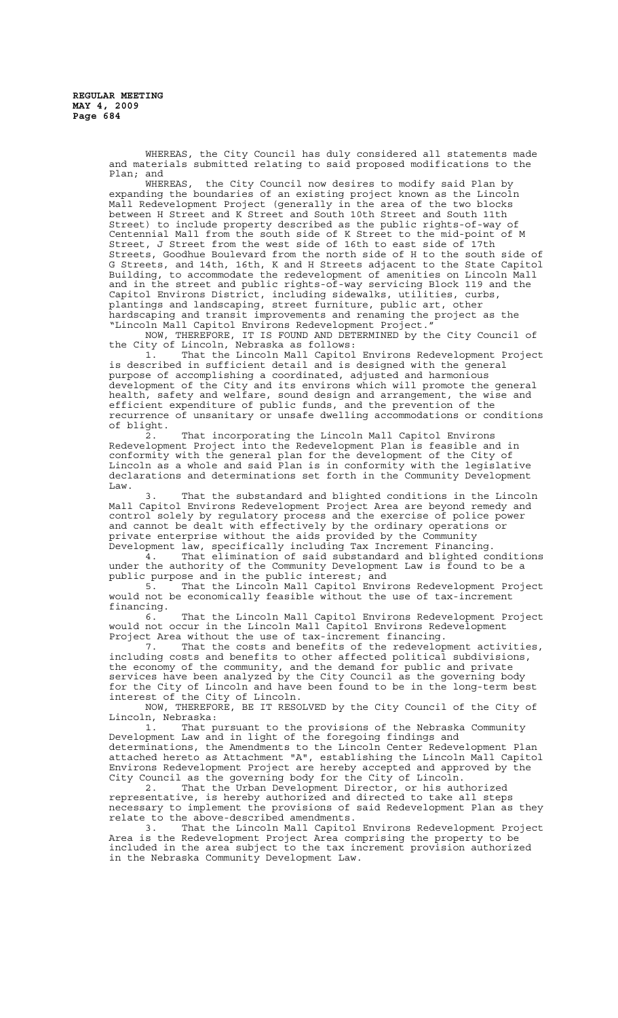WHEREAS, the City Council has duly considered all statements made and materials submitted relating to said proposed modifications to the Plan; and

WHEREAS, the City Council now desires to modify said Plan by expanding the boundaries of an existing project known as the Lincoln Mall Redevelopment Project (generally in the area of the two blocks between H Street and K Street and South 10th Street and South 11th Street) to include property described as the public rights-of-way of Centennial Mall from the south side of K Street to the mid-point of M Street, J Street from the west side of 16th to east side of 17th Streets, Goodhue Boulevard from the north side of H to the south side of G Streets, and 14th, 16th, K and H Streets adjacent to the State Capitol Building, to accommodate the redevelopment of amenities on Lincoln Mall and in the street and public rights-of-way servicing Block 119 and the Capitol Environs District, including sidewalks, utilities, curbs, plantings and landscaping, street furniture, public art, other hardscaping and transit improvements and renaming the project as the "Lincoln Mall Capitol Environs Redevelopment Project."

NOW, THEREFORE, IT IS FOUND AND DETERMINED by the City Council of the City of Lincoln, Nebraska as follows:

1. That the Lincoln Mall Capitol Environs Redevelopment Project is described in sufficient detail and is designed with the general purpose of accomplishing a coordinated, adjusted and harmonious development of the City and its environs which will promote the general health, safety and welfare, sound design and arrangement, the wise and efficient expenditure of public funds, and the prevention of the recurrence of unsanitary or unsafe dwelling accommodations or conditions of blight.

2. That incorporating the Lincoln Mall Capitol Environs Redevelopment Project into the Redevelopment Plan is feasible and in conformity with the general plan for the development of the City of Lincoln as a whole and said Plan is in conformity with the legislative declarations and determinations set forth in the Community Development Law.

3. That the substandard and blighted conditions in the Lincoln Mall Capitol Environs Redevelopment Project Area are beyond remedy and control solely by regulatory process and the exercise of police power and cannot be dealt with effectively by the ordinary operations or private enterprise without the aids provided by the Community Development law, specifically including Tax Increment Financing.

4. That elimination of said substandard and blighted conditions under the authority of the Community Development Law is found to be a public purpose and in the public interest; and

5. That the Lincoln Mall Capitol Environs Redevelopment Project would not be economically feasible without the use of tax-increment financing.

6. That the Lincoln Mall Capitol Environs Redevelopment Project would not occur in the Lincoln Mall Capitol Environs Redevelopment

Project Area without the use of tax-increment financing.<br>7. That the costs and benefits of the redevelop That the costs and benefits of the redevelopment activities, including costs and benefits to other affected political subdivisions, the economy of the community, and the demand for public and private services have been analyzed by the City Council as the governing body for the City of Lincoln and have been found to be in the long-term best interest of the City of Lincoln.

NOW, THEREFORE, BE IT RESOLVED by the City Council of the City of Lincoln, Nebraska:

1. That pursuant to the provisions of the Nebraska Community Development Law and in light of the foregoing findings and determinations, the Amendments to the Lincoln Center Redevelopment Plan attached hereto as Attachment "A", establishing the Lincoln Mall Capitol Environs Redevelopment Project are hereby accepted and approved by the City Council as the governing body for the City of Lincoln.

2. That the Urban Development Director, or his authorized representative, is hereby authorized and directed to take all steps necessary to implement the provisions of said Redevelopment Plan as they relate to the above-described amendments.<br>3. That the Lincoln Mall Capitol

That the Lincoln Mall Capitol Environs Redevelopment Project Area is the Redevelopment Project Area comprising the property to be included in the area subject to the tax increment provision authorized in the Nebraska Community Development Law.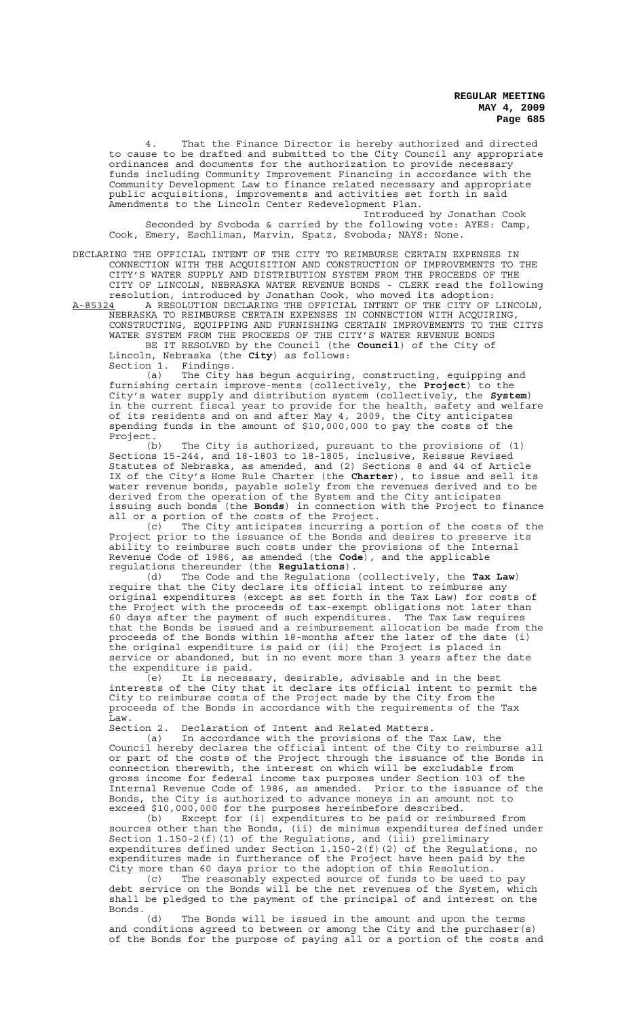4. That the Finance Director is hereby authorized and directed to cause to be drafted and submitted to the City Council any appropriate ordinances and documents for the authorization to provide necessary funds including Community Improvement Financing in accordance with the Community Development Law to finance related necessary and appropriate public acquisitions, improvements and activities set forth in said .<br>Amendments to the Lincoln Center Redevelopment Plan.

Introduced by Jonathan Cook Seconded by Svoboda & carried by the following vote: AYES: Camp, Cook, Emery, Eschliman, Marvin, Spatz, Svoboda; NAYS: None.

DECLARING THE OFFICIAL INTENT OF THE CITY TO REIMBURSE CERTAIN EXPENSES IN CONNECTION WITH THE ACQUISITION AND CONSTRUCTION OF IMPROVEMENTS TO THE CITY'S WATER SUPPLY AND DISTRIBUTION SYSTEM FROM THE PROCEEDS OF THE CITY OF LINCOLN, NEBRASKA WATER REVENUE BONDS - CLERK read the following

resolution, introduced by Jonathan Cook, who moved its adoption:<br>A-85324 A RESOLUTION DECLARING THE OFFICIAL INTENT OF THE CITY OF A-85324 A RESOLUTION DECLARING THE OFFICIAL INTENT OF THE CITY OF LINCOLN, NEBRASKA TO REIMBURSE CERTAIN EXPENSES IN CONNECTION WITH ACQUIRING, CONSTRUCTING, EQUIPPING AND FURNISHING CERTAIN IMPROVEMENTS TO THE CITYS WATER SYSTEM FROM THE PROCEEDS OF THE CITY'S WATER REVENUE BONDS

BE IT RESOLVED by the Council (the **Council**) of the City of Lincoln, Nebraska (the **City**) as follows:

Section 1. Findings.<br>(a) The City

The City has begun acquiring, constructing, equipping and furnishing certain improve-ments (collectively, the **Project**) to the City's water supply and distribution system (collectively, the **System**) in the current fiscal year to provide for the health, safety and welfare of its residents and on and after May 4, 2009, the City anticipates spending funds in the amount of \$10,000,000 to pay the costs of the Project.

(b) The City is authorized, pursuant to the provisions of (1) Sections 15-244, and 18-1803 to 18-1805, inclusive, Reissue Revised Statutes of Nebraska, as amended, and (2) Sections 8 and 44 of Article IX of the City's Home Rule Charter (the **Charter**), to issue and sell its water revenue bonds, payable solely from the revenues derived and to be derived from the operation of the System and the City anticipates issuing such bonds (the **Bonds**) in connection with the Project to finance all or a portion of the costs of the Project.

(c) The City anticipates incurring a portion of the costs of the Project prior to the issuance of the Bonds and desires to preserve its ability to reimburse such costs under the provisions of the Internal Revenue Code of 1986, as amended (the **Code**), and the applicable regulations thereunder (the **Regulations**).

(d) The Code and the Regulations (collectively, the **Tax Law**) require that the City declare its official intent to reimburse any original expenditures (except as set forth in the Tax Law) for costs of the Project with the proceeds of tax-exempt obligations not later than 60 days after the payment of such expenditures. The Tax Law requires that the Bonds be issued and a reimbursement allocation be made from the that the Bonds be issued and a reimbursement allocation be made from the proceeds of the Bonds within 18-months after the later of the date (i) the original expenditure is paid or (ii) the Project is placed in service or abandoned, but in no event more than 3 years after the date the expenditure is paid.

(e) It is necessary, desirable, advisable and in the best interests of the City that it declare its official intent to permit the City to reimburse costs of the Project made by the City from the proceeds of the Bonds in accordance with the requirements of the Tax Law.<br>Section 2.

Declaration of Intent and Related Matters.

(a) In accordance with the provisions of the Tax Law, the Council hereby declares the official intent of the City to reimburse all or part of the costs of the Project through the issuance of the Bonds in connection therewith, the interest on which will be excludable from gross income for federal income tax purposes under Section 103 of the Internal Revenue Code of 1986, as amended. Prior to the issuance of the Bonds, the City is authorized to advance moneys in an amount not to exceed \$10,000,000 for the purposes hereinbefore described.

(b) Except for (i) expenditures to be paid or reimbursed from sources other than the Bonds, (ii) de minimus expenditures defined under Section 1.150-2(f)(1) of the Regulations, and (iii) preliminary expenditures defined under Section 1.150-2(f)(2) of the Regulations, no expenditures made in furtherance of the Project have been paid by the City more than 60 days prior to the adoption of this Resolution.<br>(c) The reasonably expected source of funds to be used to

The reasonably expected source of funds to be used to pay debt service on the Bonds will be the net revenues of the System, which shall be pledged to the payment of the principal of and interest on the Bonds.<br>(d)

The Bonds will be issued in the amount and upon the terms and conditions agreed to between or among the City and the purchaser(s) of the Bonds for the purpose of paying all or a portion of the costs and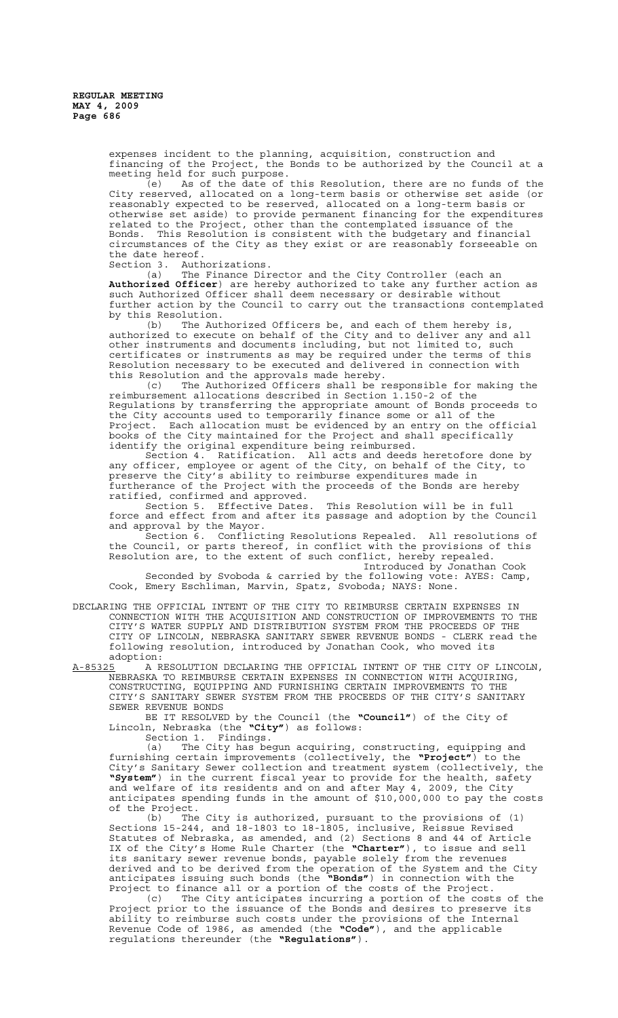expenses incident to the planning, acquisition, construction and financing of the Project, the Bonds to be authorized by the Council at a meeting held for such purpose.

 $\overline{e}$  (e) As of the date of this Resolution, there are no funds of the City reserved, allocated on a long-term basis or otherwise set aside (or reasonably expected to be reserved, allocated on a long-term basis or otherwise set aside) to provide permanent financing for the expenditures related to the Project, other than the contemplated issuance of the Bonds. This Resolution is consistent with the budgetary and financial circumstances of the City as they exist or are reasonably forseeable on the date hereof.

Section 3. Authorizations.

(a) The Finance Director and the City Controller (each an **Authorized Officer**) are hereby authorized to take any further action as such Authorized Officer shall deem necessary or desirable without further action by the Council to carry out the transactions contemplated by this Resolution.

(b) The Authorized Officers be, and each of them hereby is, authorized to execute on behalf of the City and to deliver any and all other instruments and documents including, but not limited to, such certificates or instruments as may be required under the terms of this Resolution necessary to be executed and delivered in connection with this Resolution and the approvals made hereby.

(c) The Authorized Officers shall be responsible for making the reimbursement allocations described in Section 1.150-2 of the Regulations by transferring the appropriate amount of Bonds proceeds to the City accounts used to temporarily finance some or all of the Project. Each allocation must be evidenced by an entry on the official books of the City maintained for the Project and shall specifically identify the original expenditure being reimbursed.

Section 4. Ratification. All acts and deeds heretofore done by any officer, employee or agent of the City, on behalf of the City, to preserve the City's ability to reimburse expenditures made in furtherance of the Project with the proceeds of the Bonds are hereby ratified, confirmed and approved.

Section 5. Effective Dates. This Resolution will be in full force and effect from and after its passage and adoption by the Council and approval by the Mayor.

Section 6. Conflicting Resolutions Repealed. All resolutions of the Council, or parts thereof, in conflict with the provisions of this Resolution are, to the extent of such conflict, hereby repealed.

Introduced by Jonathan Cook Seconded by Svoboda & carried by the following vote: AYES: Camp, Cook, Emery Eschliman, Marvin, Spatz, Svoboda; NAYS: None.

DECLARING THE OFFICIAL INTENT OF THE CITY TO REIMBURSE CERTAIN EXPENSES IN CONNECTION WITH THE ACQUISITION AND CONSTRUCTION OF IMPROVEMENTS TO THE CITY'S WATER SUPPLY AND DISTRIBUTION SYSTEM FROM THE PROCEEDS OF THE CITY OF LINCOLN, NEBRASKA SANITARY SEWER REVENUE BONDS - CLERK read the following resolution, introduced by Jonathan Cook, who moved its adoption:

A-85325 A RESOLUTION DECLARING THE OFFICIAL INTENT OF THE CITY OF LINCOLN, NEBRASKA TO REIMBURSE CERTAIN EXPENSES IN CONNECTION WITH ACQUIRING, CONSTRUCTING, EQUIPPING AND FURNISHING CERTAIN IMPROVEMENTS TO THE CITY'S SANITARY SEWER SYSTEM FROM THE PROCEEDS OF THE CITY'S SANITARY SEWER REVENUE BONDS

BE IT RESOLVED by the Council (the **"Council"**) of the City of Lincoln, Nebraska (the **"City"**) as follows:

Section 1. Findings.

(a) The City has begun acquiring, constructing, equipping and furnishing certain improvements (collectively, the **"Project"**) to the City's Sanitary Sewer collection and treatment system (collectively, the **"System"**) in the current fiscal year to provide for the health, safety and welfare of its residents and on and after May 4, 2009, the City anticipates spending funds in the amount of \$10,000,000 to pay the costs of the Project.

(b) The City is authorized, pursuant to the provisions of (1) Sections 15-244, and 18-1803 to 18-1805, inclusive, Reissue Revised Statutes of Nebraska, as amended, and (2) Sections 8 and 44 of Article IX of the City's Home Rule Charter (the **"Charter"**), to issue and sell its sanitary sewer revenue bonds, payable solely from the revenues derived and to be derived from the operation of the System and the City anticipates issuing such bonds (the **"Bonds"**) in connection with the Project to finance all or a portion of the costs of the Project.<br>(c) The City anticipates incurring a portion of the cost

The City anticipates incurring a portion of the costs of the Project prior to the issuance of the Bonds and desires to preserve its ability to reimburse such costs under the provisions of the Internal Revenue Code of 1986, as amended (the **"Code"**), and the applicable regulations thereunder (the **"Regulations"**).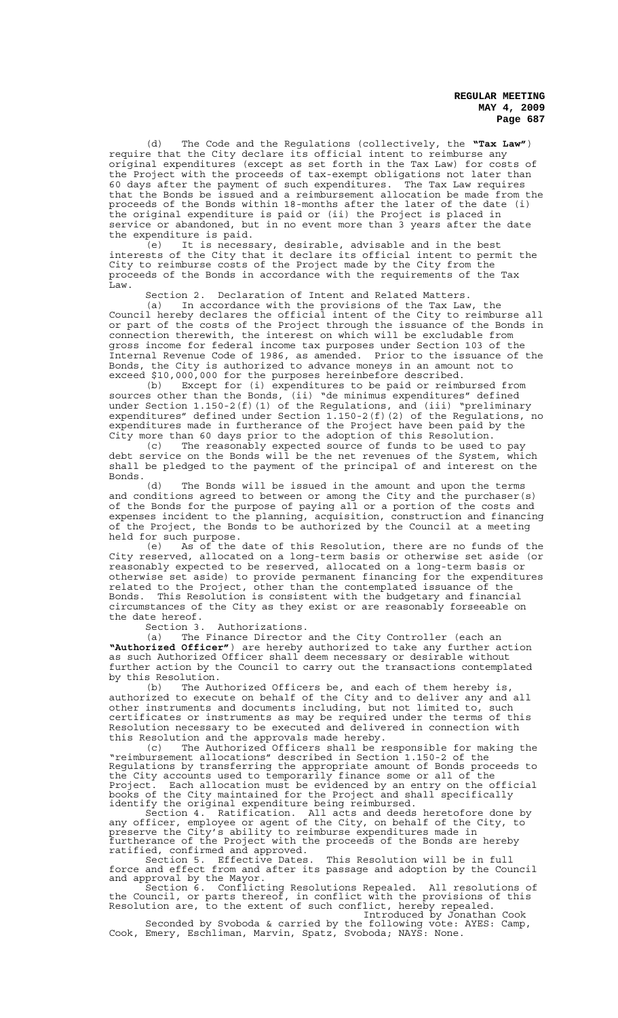(d) The Code and the Regulations (collectively, the **"Tax Law"**) require that the City declare its official intent to reimburse any original expenditures (except as set forth in the Tax Law) for costs of the Project with the proceeds of tax-exempt obligations not later than 60 days after the payment of such expenditures. The Tax Law requires that the Bonds be issued and a reimbursement allocation be made from the proceeds of the Bonds within 18-months after the later of the date (i) the original expenditure is paid or (ii) the Project is placed in service or abandoned, but in no event more than 3 years after the date the expenditure is paid.

(e) It is necessary, desirable, advisable and in the best interests of the City that it declare its official intent to permit the City to reimburse costs of the Project made by the City from the proceeds of the Bonds in accordance with the requirements of the Tax .<br>Law.

Section 2. Declaration of Intent and Related Matters.

(a) In accordance with the provisions of the Tax Law, the Council hereby declares the official intent of the City to reimburse all or part of the costs of the Project through the issuance of the Bonds in connection therewith, the interest on which will be excludable from gross income for federal income tax purposes under Section 103 of the Internal Revenue Code of 1986, as amended. Prior to the issuance of the Bonds, the City is authorized to advance moneys in an amount not to exceed \$10,000,000 for the purposes hereinbefore described.

(b) Except for (i) expenditures to be paid or reimbursed from sources other than the Bonds, (ii) "de minimus expenditures" defined under Section 1.150-2(f)(1) of the Regulations, and (iii) "preliminary expenditures" defined under Section 1.150-2(f)(2) of the Regulations, no expenditures made in furtherance of the Project have been paid by the City more than 60 days prior to the adoption of this Resolution.

(c) The reasonably expected source of funds to be used to pay debt service on the Bonds will be the net revenues of the System, which shall be pledged to the payment of the principal of and interest on the Bonds.<br>(d)

The Bonds will be issued in the amount and upon the terms and conditions agreed to between or among the City and the purchaser(s) of the Bonds for the purpose of paying all or a portion of the costs and expenses incident to the planning, acquisition, construction and financing of the Project, the Bonds to be authorized by the Council at a meeting held for such purpose.

(e) As of the date of this Resolution, there are no funds of the City reserved, allocated on a long-term basis or otherwise set aside (or reasonably expected to be reserved, allocated on a long-term basis or otherwise set aside) to provide permanent financing for the expenditures related to the Project, other than the contemplated issuance of the Bonds. This Resolution is consistent with the budgetary and financial circumstances of the City as they exist or are reasonably forseeable on the date hereof.<br>Section 3.

Authorizations.

(a) The Finance Director and the City Controller (each an **"Authorized Officer"**) are hereby authorized to take any further action as such Authorized Officer shall deem necessary or desirable without further action by the Council to carry out the transactions contemplated by this Resolution.

(b) The Authorized Officers be, and each of them hereby is, authorized to execute on behalf of the City and to deliver any and all other instruments and documents including, but not limited to, such certificates or instruments as may be required under the terms of this Resolution necessary to be executed and delivered in connection with this Resolution and the approvals made hereby.

(c) The Authorized Officers shall be responsible for making the "reimbursement allocations" described in Section 1.150-2 of the Regulations by transferring the appropriate amount of Bonds proceeds to the City accounts used to temporarily finance some or all of the Project. Each allocation must be evidenced by an entry on the official books of the City maintained for the Project and shall specifically identify the original expenditure being reimbursed.

Section 4. Ratification. All acts and deeds heretofore done by any officer, employee or agent of the City, on behalf of the City, to preserve the City's ability to reimburse expenditures made in furtherance of the Project with the proceeds of the Bonds are hereby ratified, confirmed and approved.

Section 5. Effective Dates. This Resolution will be in full force and effect from and after its passage and adoption by the Council and approval by the Mayor.

Section 6. Conflicting Resolutions Repealed. All resolutions of the Council, or parts thereof, in conflict with the provisions of this Resolution are, to the extent of such conflict, hereby repealed. Introduced by Jonathan Cook

Seconded by Svoboda & carried by the following vote: AYES: Camp, Cook, Emery, Eschliman, Marvin, Spatz, Svoboda; NAYS: None.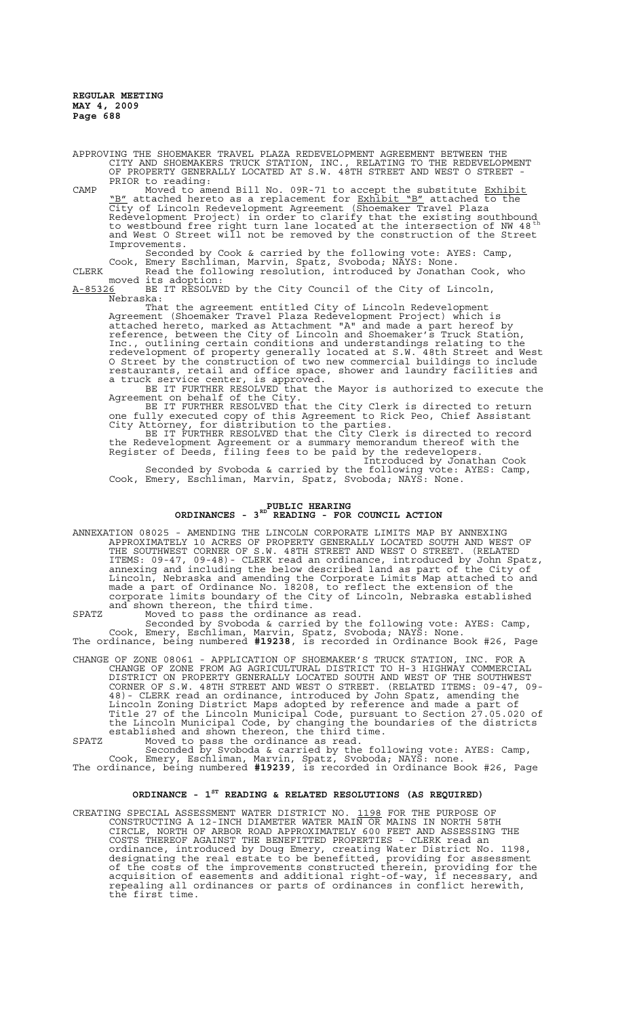APPROVING THE SHOEMAKER TRAVEL PLAZA REDEVELOPMENT AGREEMENT BETWEEN THE CITY AND SHOEMAKERS TRUCK STATION, INC., RELATING TO THE REDEVELOPMENT OF PROPERTY GENERALLY LOCATED AT S.W. 48TH STREET AND WEST O STREET - PRIOR to reading:

CAMP Moved to amend Bill No. 09R-71 to accept the substitute Exhibit "B" attached hereto as a replacement for Exhibit "B" attached to the City of Lincoln Redevelopment Agreement (Shoemaker Travel Plaza Redevelopment Project) in order to clarify that the existing southbound<br>to westbound free right turn lane located at the intersection of NW 48  $^{\rm th}$ and West O Street will not be removed by the construction of the Street Improvements.

Seconded by Cook & carried by the following vote: AYES: Camp, Cook, Emery Eschliman, Marvin, Spatz, Svoboda; NAYS: None. CLERK Read the following resolution, introduced by Jonathan Cook, who

moved its adoption: A-85326 BE IT RESOLVED by the City Council of the City of Lincoln,  $A-85326$  a  $Nebraska:$ 

That the agreement entitled City of Lincoln Redevelopment Agreement (Shoemaker Travel Plaza Redevelopment Project) which is attached hereto, marked as Attachment "A" and made a part hereof by reference, between the City of Lincoln and Shoemaker's Truck Station, Inc., outlining certain conditions and understandings relating to the redevelopment of property generally located at S.W. 48th Street and West O Street by the construction of two new commercial buildings to include restaurants, retail and office space, shower and laundry facilities and a truck service center, is approved.

BE IT FURTHER RESOLVED that the Mayor is authorized to execute the Agreement on behalf of the City.

BE IT FURTHER RESOLVED that the City Clerk is directed to return one fully executed copy of this Agreement to Rick Peo, Chief Assistant City Attorney, for distribution to the parties.

BE IT FURTHER RESOLVED that the City Clerk is directed to record the Redevelopment Agreement or a summary memorandum thereof with the Register of Deeds, filing fees to be paid by the redevelopers.

Introduced by Jonathan Cook Seconded by Svoboda & carried by the following vote: AYES: Camp, Cook, Emery, Eschliman, Marvin, Spatz, Svoboda; NAYS: None.

# **PUBLIC HEARING ORDINANCES - 3RD READING - FOR COUNCIL ACTION**

ANNEXATION 08025 - AMENDING THE LINCOLN CORPORATE LIMITS MAP BY ANNEXING APPROXIMATELY 10 ACRES OF PROPERTY GENERALLY LOCATED SOUTH AND WEST OF THE SOUTHWEST CORNER OF S.W. 48TH STREET AND WEST O STREET. (RELATED ITEMS: 09-47, 09-48)- CLERK read an ordinance, introduced by John Spatz, annexing and including the below described land as part of the City of Lincoln, Nebraska and amending the Corporate Limits Map attached to and made a part of Ordinance No. 18208, to reflect the extension of the corporate limits boundary of the City of Lincoln, Nebraska established and shown thereon, the third time.

SPATZ Moved to pass the ordinance as read. Seconded by Svoboda & carried by the following vote: AYES: Camp, Cook, Emery, Eschliman, Marvin, Spatz, Svoboda; NAYS: None. The ordinance, being numbered **#19238**, is recorded in Ordinance Book #26, Page

CHANGE OF ZONE 08061 - APPLICATION OF SHOEMAKER'S TRUCK STATION, INC. FOR A CHANGE OF ZONE FROM AG AGRICULTURAL DISTRICT TO H-3 HIGHWAY COMMERCIAL DISTRICT ON PROPERTY GENERALLY LOCATED SOUTH AND WEST OF THE SOUTHWEST CORNER OF S.W. 48TH STREET AND WEST O STREET. (RELATED ITEMS: 09-47, 09- 48)- CLERK read an ordinance, introduced by John Spatz, amending the Lincoln Zoning District Maps adopted by reference and made a part of Title 27 of the Lincoln Municipal Code, pursuant to Section 27.05.020 of the Lincoln Municipal Code, by changing the boundaries of the districts established and shown thereon, the third time. SPATZ Moved to pass the ordinance as read.

Seconded by Svoboda & carried by the following vote: AYES: Camp, Cook, Emery, Eschliman, Marvin, Spatz, Svoboda; NAYS: none.

The ordinance, being numbered **#19239**, is recorded in Ordinance Book #26, Page

# **ORDINANCE - 1ST READING & RELATED RESOLUTIONS (AS REQUIRED)**

CREATING SPECIAL ASSESSMENT WATER DISTRICT NO. 1198 FOR THE PURPOSE OF CONSTRUCTING A 12-INCH DIAMETER WATER MAIN OR MAINS IN NORTH 58TH CIRCLE, NORTH OF ARBOR ROAD APPROXIMATELY 600 FEET AND ASSESSING THE COSTS THEREOF AGAINST THE BENEFITTED PROPERTIES - CLERK read an ordinance, introduced by Doug Emery, creating Water District No. 1198, designating the real estate to be benefitted, providing for assessment of the costs of the improvements constructed therein, providing for the acquisition of easements and additional right-of-way, if necessary, and repealing all ordinances or parts of ordinances in conflict herewith, the first time.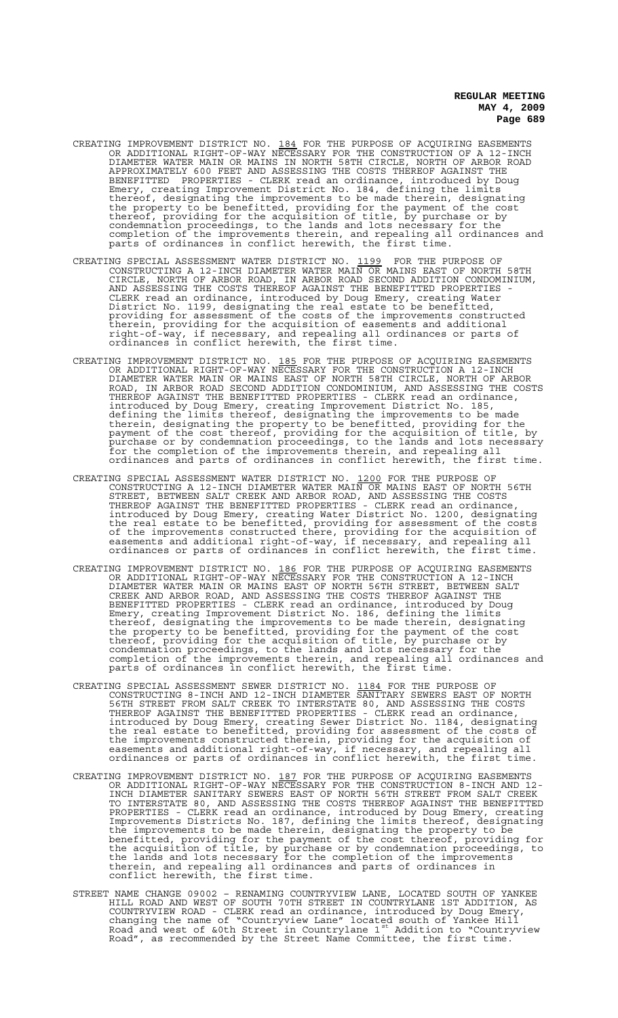- CREATING IMPROVEMENT DISTRICT NO. 184 FOR THE PURPOSE OF ACQUIRING EASEMENTS OR ADDITIONAL RIGHT-OF-WAY NECESSARY FOR THE CONSTRUCTION OF A 12-INCH DIAMETER WATER MAIN OR MAINS IN NORTH 58TH CIRCLE, NORTH OF ARBOR ROAD APPROXIMATELY 600 FEET AND ASSESSING THE COSTS THEREOF AGAINST THE BENEFITTED PROPERTIES - CLERK read an ordinance, introduced by Doug Emery, creating Improvement District No. 184, defining the limits thereof, designating the improvements to be made therein, designating the property to be benefitted, providing for the payment of the cost thereof, providing for the acquisition of title, by purchase or by condemnation proceedings, to the lands and lots necessary for the completion of the improvements therein, and repealing all ordinances and parts of ordinances in conflict herewith, the first time.
- CREATING SPECIAL ASSESSMENT WATER DISTRICT NO. 1199 FOR THE PURPOSE OF CONSTRUCTING A 12-INCH DIAMETER WATER MAIN OR MAINS EAST OF NORTH 58TH CIRCLE, NORTH OF ARBOR ROAD, IN ARBOR ROAD SECOND ADDITION CONDOMINIUM, AND ASSESSING THE COSTS THEREOF AGAINST THE BENEFITTED PROPERTIES - CLERK read an ordinance, introduced by Doug Emery, creating Water District No. 1199, designating the real estate to be benefitted, providing for assessment of the costs of the improvements constructed therein, providing for the acquisition of easements and additional right-of-way, if necessary, and repealing all ordinances or parts of ordinances in conflict herewith, the first time.
- CREATING IMPROVEMENT DISTRICT NO. 185 FOR THE PURPOSE OF ACQUIRING EASEMENTS OR ADDITIONAL RIGHT-OF-WAY NECESSARY FOR THE CONSTRUCTION A 12-INCH DIAMETER WATER MAIN OR MAINS EAST OF NORTH 58TH CIRCLE, NORTH OF ARBOR ROAD, IN ARBOR ROAD SECOND ADDITION CONDOMINIUM, AND ASSESSING THE COSTS THEREOF AGAINST THE BENEFITTED PROPERTIES - CLERK read an ordinance, introduced by Doug Emery, creating Improvement District No. 185, defining the limits thereof, designating the improvements to be made therein, designating the property to be benefitted, providing for the payment of the cost thereof, providing for the acquisition of title, by purchase or by condemnation proceedings, to the lands and lots necessary for the completion of the improvements therein, and repealing all ordinances and parts of ordinances in conflict herewith, the first time.
- CREATING SPECIAL ASSESSMENT WATER DISTRICT NO. 1200 FOR THE PURPOSE OF CONSTRUCTING A 12-INCH DIAMETER WATER MAIN OR MAINS EAST OF NORTH 56TH STREET, BETWEEN SALT CREEK AND ARBOR ROAD, AND ASSESSING THE COSTS THEREOF AGAINST THE BENEFITTED PROPERTIES - CLERK read an ordinance, introduced by Doug Emery, creating Water District No. 1200, designating the real estate to be benefitted, providing for assessment of the costs of the improvements constructed there, providing for the acquisition of easements and additional right-of-way, if necessary, and repealing all ordinances or parts of ordinances in conflict herewith, the first time.
- CREATING IMPROVEMENT DISTRICT NO. 186 FOR THE PURPOSE OF ACQUIRING EASEMENTS OR ADDITIONAL RIGHT-OF-WAY NECESSARY FOR THE CONSTRUCTION A 12-INCH DIAMETER WATER MAIN OR MAINS EAST OF NORTH 56TH STREET, BETWEEN SALT CREEK AND ARBOR ROAD, AND ASSESSING THE COSTS THEREOF AGAINST THE BENEFITTED PROPERTIES - CLERK read an ordinance, introduced by Doug Emery, creating Improvement District No. 186, defining the limits thereof, designating the improvements to be made therein, designating the property to be benefitted, providing for the payment of the cost thereof, providing for the acquisition of title, by purchase or by condemnation proceedings, to the lands and lots necessary for the completion of the improvements therein, and repealing all ordinances and parts of ordinances in conflict herewith, the first time.
- CREATING SPECIAL ASSESSMENT SEWER DISTRICT NO. 1184 FOR THE PURPOSE OF CONSTRUCTING 8-INCH AND 12-INCH DIAMETER SANITARY SEWERS EAST OF NORTH 56TH STREET FROM SALT CREEK TO INTERSTATE 80, AND ASSESSING THE COSTS THEREOF AGAINST THE BENEFITTED PROPERTIES - CLERK read an ordinance, introduced by Doug Emery, creating Sewer District No. 1184, designating the real estate to benefitted, providing for assessment of the costs of the improvements constructed therein, providing for the acquisition of easements and additional right-of-way, if necessary, and repealing all ordinances or parts of ordinances in conflict herewith, the first time.
- CREATING IMPROVEMENT DISTRICT NO. 187 FOR THE PURPOSE OF ACQUIRING EASEMENTS OR ADDITIONAL RIGHT-OF-WAY NECESSARY FOR THE CONSTRUCTION 8-INCH AND 12- INCH DIAMETER SANITARY SEWERS EAST OF NORTH 56TH STREET FROM SALT CREEK TO INTERSTATE 80, AND ASSESSING THE COSTS THEREOF AGAINST THE BENEFITTED PROPERTIES - CLERK read an ordinance, introduced by Doug Emery, creating Improvements Districts No. 187, defining the limits thereof, designating the improvements to be made therein, designating the property to be benefitted, providing for the payment of the cost thereof, providing for the acquisition of title, by purchase or by condemnation proceedings, to the lands and lots necessary for the completion of the improvements therein, and repealing all ordinances and parts of ordinances in conflict herewith, the first time.
- STREET NAME CHANGE 09002 RENAMING COUNTRYVIEW LANE, LOCATED SOUTH OF YANKEE HILL ROAD AND WEST OF SOUTH 70TH STREET IN COUNTRYLANE 1ST ADDITION, AS COUNTRYVIEW ROAD - CLERK read an ordinance, introduced by Doug Emery, changing the name of "Countryview Lane" located south of Yankee Hill<br>Road and west of &0th Street in Countrylane 1<sup>st</sup> Addition to "Countryview Road", as recommended by the Street Name Committee, the first time.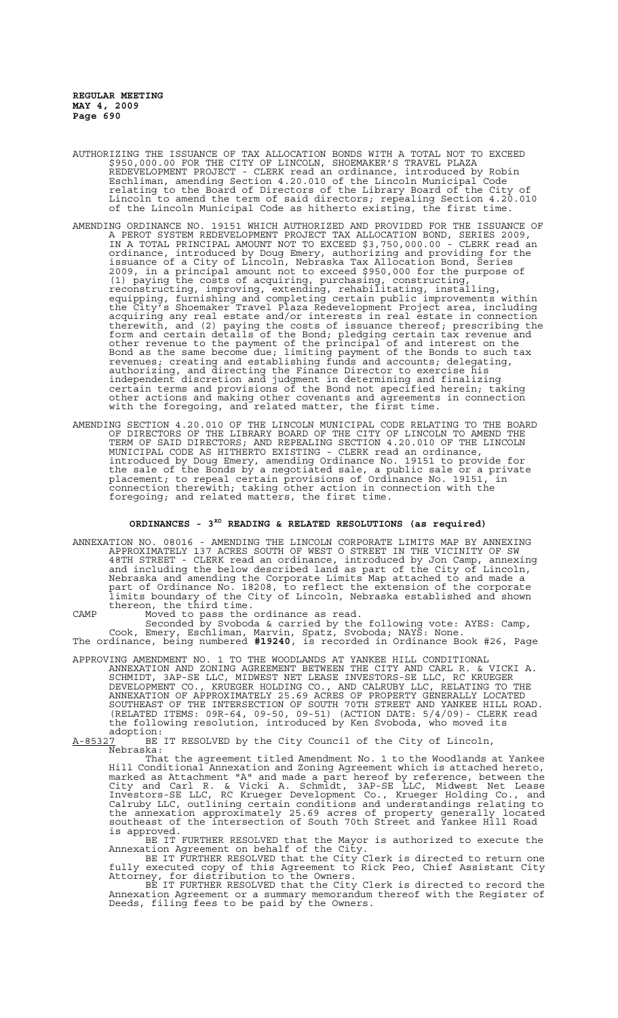- AUTHORIZING THE ISSUANCE OF TAX ALLOCATION BONDS WITH A TOTAL NOT TO EXCEED \$950,000.00 FOR THE CITY OF LINCOLN, SHOEMAKER'S TRAVEL PLAZA REDEVELOPMENT PROJECT - CLERK read an ordinance, introduced by Robin Eschliman, amending Section 4.20.010 of the Lincoln Municipal Code relating to the Board of Directors of the Library Board of the City of Lincoln to amend the term of said directors; repealing Section 4.20.010 of the Lincoln Municipal Code as hitherto existing, the first time.
- AMENDING ORDINANCE NO. 19151 WHICH AUTHORIZED AND PROVIDED FOR THE ISSUANCE OF A PEROT SYSTEM REDEVELOPMENT PROJECT TAX ALLOCATION BOND, SERIES 2009, IN A TOTAL PRINCIPAL AMOUNT NOT TO EXCEED \$3,750,000.00 - CLERK read an ordinance, introduced by Doug Emery, authorizing and providing for the issuance of a City of Lincoln, Nebraska Tax Allocation Bond, Series 2009, in a principal amount not to exceed \$950,000 for the purpose of (1) paying the costs of acquiring, purchasing, constructing, reconstructing, improving, extending, rehabilitating, installing, equipping, furnishing and completing certain public improvements within the City's Shoemaker Travel Plaza Redevelopment Project area, including acquiring any real estate and/or interests in real estate in connection therewith, and (2) paying the costs of issuance thereof; prescribing the form and certain details of the Bond; pledging certain tax revenue and other revenue to the payment of the principal of and interest on the Bond as the same become due; limiting payment of the Bonds to such tax revenues; creating and establishing funds and accounts; delegating, authorizing, and directing the Finance Director to exercise his independent discretion and judgment in determining and finalizing certain terms and provisions of the Bond not specified herein; taking other actions and making other covenants and agreements in connection with the foregoing, and related matter, the first time.
- AMENDING SECTION 4.20.010 OF THE LINCOLN MUNICIPAL CODE RELATING TO THE BOARD OF DIRECTORS OF THE LIBRARY BOARD OF THE CITY OF LINCOLN TO AMEND THE TERM OF SAID DIRECTORS; AND REPEALING SECTION 4.20.010 OF THE LINCOLN MUNICIPAL CODE AS HITHERTO EXISTING - CLERK read an ordinance, introduced by Doug Emery, amending Ordinance No. 19151 to provide for the sale of the Bonds by a negotiated sale, a public sale or a private placement; to repeal certain provisions of Ordinance No. 19151, in connection therewith; taking other action in connection with the foregoing; and related matters, the first time.

# **ORDINANCES - 3RD READING & RELATED RESOLUTIONS (as required)**

ANNEXATION NO. 08016 - AMENDING THE LINCOLN CORPORATE LIMITS MAP BY ANNEXING APPROXIMATELY 137 ACRES SOUTH OF WEST O STREET IN THE VICINITY OF SW 48TH STREET - CLERK read an ordinance, introduced by Jon Camp, annexing and including the below described land as part of the City of Lincoln, Nebraska and amending the Corporate Limits Map attached to and made a part of Ordinance No. 18208, to reflect the extension of the corporate limits boundary of the City of Lincoln, Nebraska established and shown thereon, the third time.

CAMP Moved to pass the ordinance as read.

Seconded by Svoboda & carried by the following vote: AYES: Camp, Cook, Emery, Eschliman, Marvin, Spatz, Svoboda; NAYS: None. The ordinance, being numbered **#19240**, is recorded in Ordinance Book #26, Page

APPROVING AMENDMENT NO. 1 TO THE WOODLANDS AT YANKEE HILL CONDITIONAL ANNEXATION AND ZONING AGREEMENT BETWEEN THE CITY AND CARL R. & VICKI A. SCHMIDT, 3AP-SE LLC, MIDWEST NET LEASE INVESTORS-SE LLC, RC KRUEGER DEVELOPMENT CO., KRUEGER HOLDING CO., AND CALRUBY LLC, RELATING TO THE ANNEXATION OF APPROXIMATELY 25.69 ACRES OF PROPERTY GENERALLY LOCATED SOUTHEAST OF THE INTERSECTION OF SOUTH 70TH STREET AND YANKEE HILL ROAD. (RELATED ITEMS: 09R-64, 09-50, 09-51) (ACTION DATE: 5/4/09)- CLERK read the following resolution, introduced by Ken Svoboda, who moved its adoption:

A-85327 <sup>T</sup> BE IT RESOLVED by the City Council of the City of Lincoln, Nebraska:

That the agreement titled Amendment No. 1 to the Woodlands at Yankee Hill Conditional Annexation and Zoning Agreement which is attached hereto, marked as Attachment "A" and made a part hereof by reference, between the City and Carl R. & Vicki A. Schmidt, 3AP-SE LLC, Midwest Net Lease Investors-SE LLC, RC Krueger Development Co., Krueger Holding Co., and Calruby LLC, outlining certain conditions and understandings relating to the annexation approximately 25.69 acres of property generally located southeast of the intersection of South 70th Street and Yankee Hill Road is approved.

BE IT FURTHER RESOLVED that the Mayor is authorized to execute the Annexation Agreement on behalf of the City.

BE IT FURTHER RESOLVED that the City  $\operatorname{\sf{Clerk}}$  is directed to return one fully executed copy of this Agreement to Rick Peo, Chief Assistant City Attorney, for distribution to the Owners.

BE IT FURTHER RESOLVED that the City Clerk is directed to record the Annexation Agreement or a summary memorandum thereof with the Register of Deeds, filing fees to be paid by the Owners.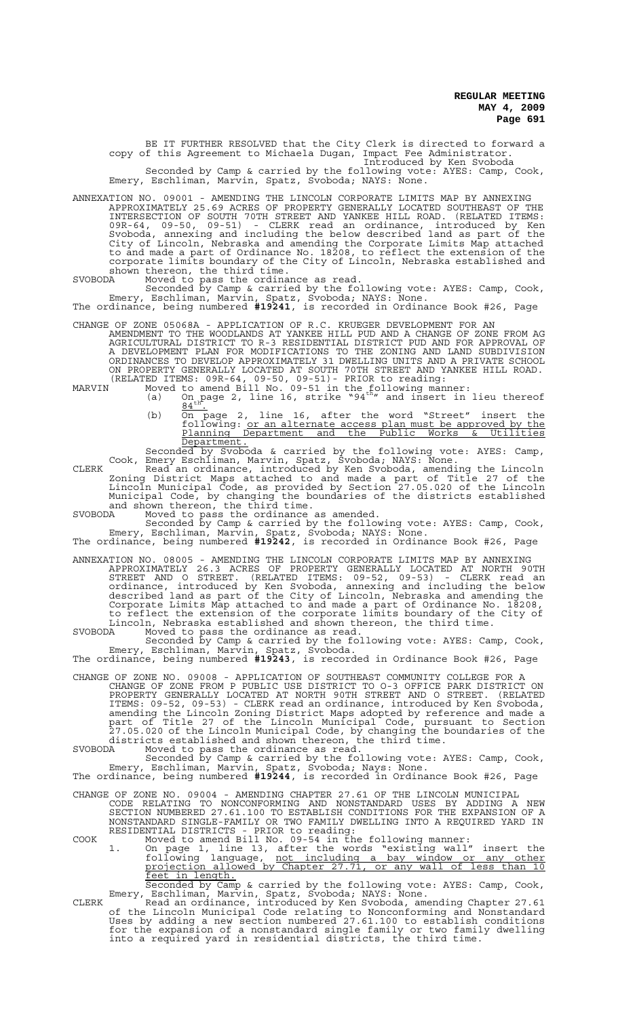BE IT FURTHER RESOLVED that the City Clerk is directed to forward a copy of this Agreement to Michaela Dugan, Impact Fee Administrator. Introduced by Ken Svoboda

Seconded by Camp & carried by the following vote: AYES: Camp, Cook, Emery, Eschliman, Marvin, Spatz, Svoboda; NAYS: None.

ANNEXATION NO. 09001 - AMENDING THE LINCOLN CORPORATE LIMITS MAP BY ANNEXING APPROXIMATELY 25.69 ACRES OF PROPERTY GENERALLY LOCATED SOUTHEAST OF THE INTERSECTION OF SOUTH 70TH STREET AND YANKEE HILL ROAD. (RELATED ITEMS: 09R-64, 09-50, 09-51) - CLERK read an ordinance, introduced by Ken Svoboda, annexing and including the below described land as part of the City of Lincoln, Nebraska and amending the Corporate Limits Map attached to and made a part of Ordinance No. 18208, to reflect the extension of the corporate limits boundary of the City of Lincoln, Nebraska established and shown thereon, the third time.

SVOBODA Moved to pass the ordinance as read.

Seconded by Camp & carried by the following vote: AYES: Camp, Cook, Emery, Eschliman, Marvin, Spatz, Svoboda; NAYS: None.

The ordinance, being numbered **#19241**, is recorded in Ordinance Book #26, Page

CHANGE OF ZONE 05068A - APPLICATION OF R.C. KRUEGER DEVELOPMENT FOR AN AMENDMENT TO THE WOODLANDS AT YANKEE HILL PUD AND A CHANGE OF ZONE FROM AG AGRICULTURAL DISTRICT TO R-3 RESIDENTIAL DISTRICT PUD AND FOR APPROVAL OF A DEVELOPMENT PLAN FOR MODIFICATIONS TO THE ZONING AND LAND SUBDIVISION ORDINANCES TO DEVELOP APPROXIMATELY 31 DWELLING UNITS AND A PRIVATE SCHOOL ON PROPERTY GENERALLY LOCATED AT SOUTH 70TH STREET AND YANKEE HILL ROAD. (RELATED ITEMS: 09R-64, 09-50, 09-51)- PRIOR to reading:

MARVIN Moved to amend Bill No. 09-51 in the following manner:<br>(a) On page 2, line 16, strike "94<sup>th</sup>" and insert in lieu thereof

- (b)  $\frac{84 \text{th}^2}{\text{On}}$  page 2, line 16, after the word "Street" insert the following: <u>or an alternate access plan must be approved by the</u>
- Planning Department and the Public Works & Utilities Department. Seconded by Svoboda & carried by the following vote: AYES: Camp,

Cook, Emery Eschliman, Marvin, Spatz, Svoboda; NAYS: None. CLERK Read an ordinance, introduced by Ken Svoboda, amending the Lincoln Zoning District Maps attached to and made a part of Title 27 of the Lincoln Municipal Code, as provided by Section 27.05.020 of the Lincoln Municipal Code, by changing the boundaries of the districts established and shown thereon, the third time.

SVOBODA Moved to pass the ordinance as amended.

Seconded by Camp & carried by the following vote: AYES: Camp, Cook, Emery, Eschliman, Marvin, Spatz, Svoboda; NAYS: None. The ordinance, being numbered **#19242**, is recorded in Ordinance Book #26, Page

ANNEXATION NO. 08005 - AMENDING THE LINCOLN CORPORATE LIMITS MAP BY ANNEXING APPROXIMATELY 26.3 ACRES OF PROPERTY GENERALLY LOCATED AT NORTH 90TH STREET AND O STREET. (RELATED ITEMS: 09-52, 09-53) - CLERK read an ordinance, introduced by Ken Svoboda, annexing and including the below described land as part of the City of Lincoln, Nebraska and amending the Corporate Limits Map attached to and made a part of Ordinance No. 18208, to reflect the extension of the corporate limits boundary of the City of Lincoln, Nebraska established and shown thereon, the third time.

SVOBODA Moved to pass the ordinance as read.

Seconded by Camp & carried by the following vote: AYES: Camp, Cook, Emery, Eschliman, Marvin, Spatz, Svoboda.

The ordinance, being numbered **#19243**, is recorded in Ordinance Book #26, Page

CHANGE OF ZONE NO. 09008 - APPLICATION OF SOUTHEAST COMMUNITY COLLEGE FOR A CHANGE OF ZONE FROM P PUBLIC USE DISTRICT TO O-3 OFFICE PARK DISTRICT ON PROPERTY GENERALLY LOCATED AT NORTH 90TH STREET AND O STREET. (RELATED ITEMS: 09-52, 09-53) - CLERK read an ordinance, introduced by Ken Svoboda, amending the Lincoln Zoning District Maps adopted by reference and made a part of Title 27 of the Lincoln Municipal Code, pursuant to Section  $27.05.020$  of the Lincoln Municipal Code, by changing the boundaries of the districts established and shown thereon, the third time.

SVOBODA Moved to pass the ordinance as read.

Seconded by Camp & carried by the following vote: AYES: Camp, Cook, Emery, Eschliman, Marvin, Spatz, Svoboda; Nays: None. The ordinance, being numbered **#19244**, is recorded in Ordinance Book #26, Page

CHANGE OF ZONE NO. 09004 - AMENDING CHAPTER 27.61 OF THE LINCOLN MUNICIPAL CODE RELATING TO NONCONFORMING AND NONSTANDARD USES BY ADDING A NEW SECTION NUMBERED 27.61.100 TO ESTABLISH CONDITIONS FOR THE EXPANSION OF A NONSTANDARD SINGLE-FAMILY OR TWO FAMILY DWELLING INTO A REQUIRED YARD IN

RESIDENTIAL DISTRICTS - PRIOR to reading: COOK Moved to amend Bill No. 09-54 in the following manner:

- 1. On page 1, line 13, after the words "existing wall" insert the following language, not including a bay window or any other projection allowed by Chapter 27.71, or any wall of less than 10 feet in length. Seconded by Camp & carried by the following vote: AYES: Camp, Cook,
- Emery, Eschliman, Marvin, Spatz, Svoboda; NAYS: None. CLERK Read an ordinance, introduced by Ken Svoboda, amending Chapter 27.61 of the Lincoln Municipal Code relating to Nonconforming and Nonstandard Uses by adding a new section numbered 27.61.100 to establish conditions for the expansion of a nonstandard single family or two family dwelling into a required yard in residential districts, the third time.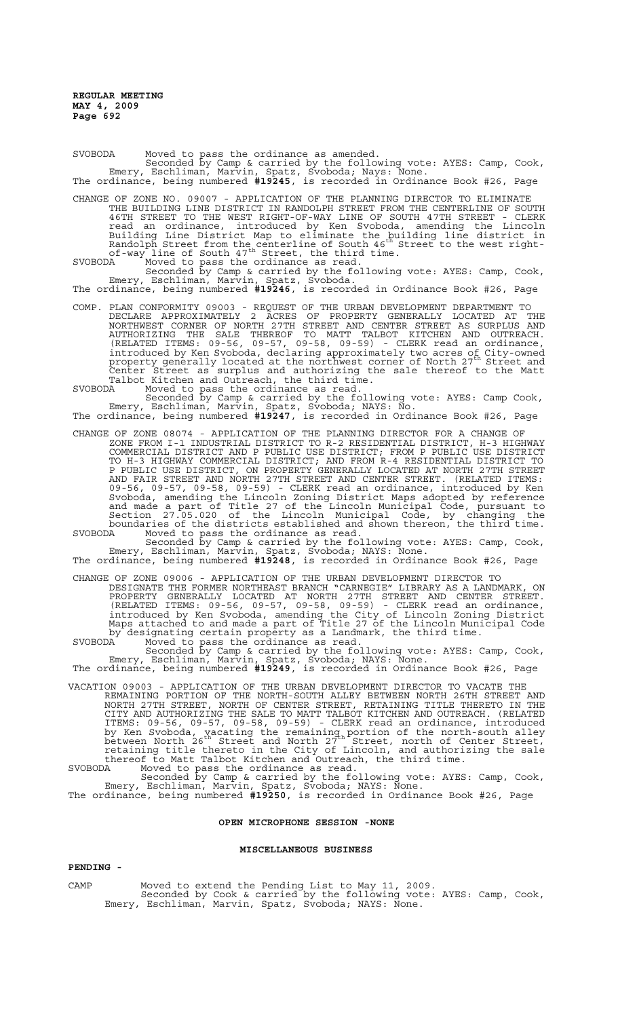SVOBODA Moved to pass the ordinance as amended. Seconded by Camp & carried by the following vote: AYES: Camp, Cook, Emery, Eschliman, Marvin, Spatz, Svoboda; Nays: None. The ordinance, being numbered **#19245**, is recorded in Ordinance Book #26, Page

CHANGE OF ZONE NO. 09007 - APPLICATION OF THE PLANNING DIRECTOR TO ELIMINATE THE BUILDING LINE DISTRICT IN RANDOLPH STREET FROM THE CENTERLINE OF SOUTH 46TH STREET TO THE WEST RIGHT-OF-WAY LINE OF SOUTH 47TH STREET - CLERK read an ordinance, introduced by Ken Svoboda, amending the Lincoln Building Line District Map to eliminate the building line district in<br>Randolph Street from the centerline of South 46<sup>th</sup> Street to the west rightof-way line of South 47<sup>th</sup> Street, the third time. SVOBODA Moved to pass the ordinance as read.

Seconded by Camp & carried by the following vote: AYES: Camp, Cook, Emery, Eschliman, Marvin, Spatz, Svoboda. The ordinance, being numbered **#19246**, is recorded in Ordinance Book #26, Page

COMP. PLAN CONFORMITY 09003 - REQUEST OF THE URBAN DEVELOPMENT DEPARTMENT TO DECLARE APPROXIMATELY 2 ACRES OF PROPERTY GENERALLY LOCATED AT THE NORTHWEST CORNER OF NORTH 27TH STREET AND CENTER STREET AS SURPLUS AND AUTHORIZING THE SALE THEREOF TO MATT TALBOT KITCHEN AND OUTREACH. (RELATED ITEMS: 09-56, 09-57, 09-58, 09-59) - CLERK read an ordinance, introduced by Ken Svoboda, declaring approximately two acres of City-owned property generally located at the northwest corner of North 27th Street and Center Street as surplus and authorizing the sale thereof to the Matt Talbot Kitchen and Outreach, the third time. SVOBODA Moved to pass the ordinance as read.

Seconded by Camp & carried by the following vote: AYES: Camp Cook, Emery, Eschliman, Marvin, Spatz, Svoboda; NAYS: No.

The ordinance, being numbered **#19247**, is recorded in Ordinance Book #26, Page

CHANGE OF ZONE 08074 - APPLICATION OF THE PLANNING DIRECTOR FOR A CHANGE OF ZONE FROM I-1 INDUSTRIAL DISTRICT TO R-2 RESIDENTIAL DISTRICT, H-3 HIGHWAY COMMERCIAL DISTRICT AND P PUBLIC USE DISTRICT; FROM P PUBLIC USE DISTRICT TO H-3 HIGHWAY COMMERCIAL DISTRICT; AND FROM R-4 RESIDENTIAL DISTRICT TO P PUBLIC USE DISTRICT, ON PROPERTY GENERALLY LOCATED AT NORTH 27TH STREET AND FAIR STREET AND NORTH 27TH STREET AND CENTER STREET. (RELATED ITEMS: 09-56, 09-57, 09-58, 09-59) - CLERK read an ordinance, introduced by Ken Svoboda, amending the Lincoln Zoning District Maps adopted by reference and made a part of Title 27 of the Lincoln Municipal Code, pursuant to Section 27.05.020 of the Lincoln Municipal Code, by changing the boundaries of the districts established and shown thereon, the third time. SVOBODA Moved to pass the ordinance as read.

Seconded by Camp & carried by the following vote: AYES: Camp, Cook, Emery, Eschliman, Marvin, Spatz, Svoboda; NAYS: None.

The ordinance, being numbered **#19248**, is recorded in Ordinance Book #26, Page

CHANGE OF ZONE 09006 - APPLICATION OF THE URBAN DEVELOPMENT DIRECTOR TO DESIGNATE THE FORMER NORTHEAST BRANCH "CARNEGIE" LIBRARY AS A LANDMARK, ON PROPERTY GENERALLY LOCATED AT NORTH 27TH STREET AND CENTER STREET. (RELATED ITEMS: 09-56, 09-57, 09-58, 09-59) - CLERK read an ordinance, introduced by Ken Svoboda, amending the City of Lincoln Zoning District Maps attached to and made a part of Title 27 of the Lincoln Municipal Code by designating certain property as a Landmark, the third time. SVOBODA<sup>1</sup> Moved to pass the ordinance as read.

Seconded by Camp & carried by the following vote: AYES: Camp, Cook, Emery, Eschliman, Marvin, Spatz, Svoboda; NAYS: None.

The ordinance, being numbered **#19249**, is recorded in Ordinance Book #26, Page

VACATION 09003 - APPLICATION OF THE URBAN DEVELOPMENT DIRECTOR TO VACATE THE REMAINING PORTION OF THE NORTH-SOUTH ALLEY BETWEEN NORTH 26TH STREET AND NORTH 27TH STREET, NORTH OF CENTER STREET, RETAINING TITLE THERETO IN THE CITY AND AUTHORIZING THE SALE TO MATT TALBOT KITCHEN AND OUTREACH. (RELATED ITEMS: 09-56, 09-57, 09-58, 09-59) - CLERK read an ordinance, introduced by Ken Svoboda, vacating the remaining portion of the north-south alley<br>between North 26<sup>th</sup> Street and North 27<sup>th</sup> Street, north of Center Street, retaining title thereto in the City of Lincoln, and authorizing the sale thereof to Matt Talbot Kitchen and Outreach, the third time.

SVOBODA Moved to pass the ordinance as read. Seconded by Camp & carried by the following vote: AYES: Camp, Cook, Emery, Eschliman, Marvin, Spatz, Svoboda; NAYS: None.

The ordinance, being numbered **#19250**, is recorded in Ordinance Book #26, Page

# **OPEN MICROPHONE SESSION -NONE**

#### **MISCELLANEOUS BUSINESS**

# **PENDING -**

CAMP Moved to extend the Pending List to May 11, 2009.

Seconded by Cook & carried by the following vote: AYES: Camp, Cook, Emery, Eschliman, Marvin, Spatz, Svoboda; NAYS: None.